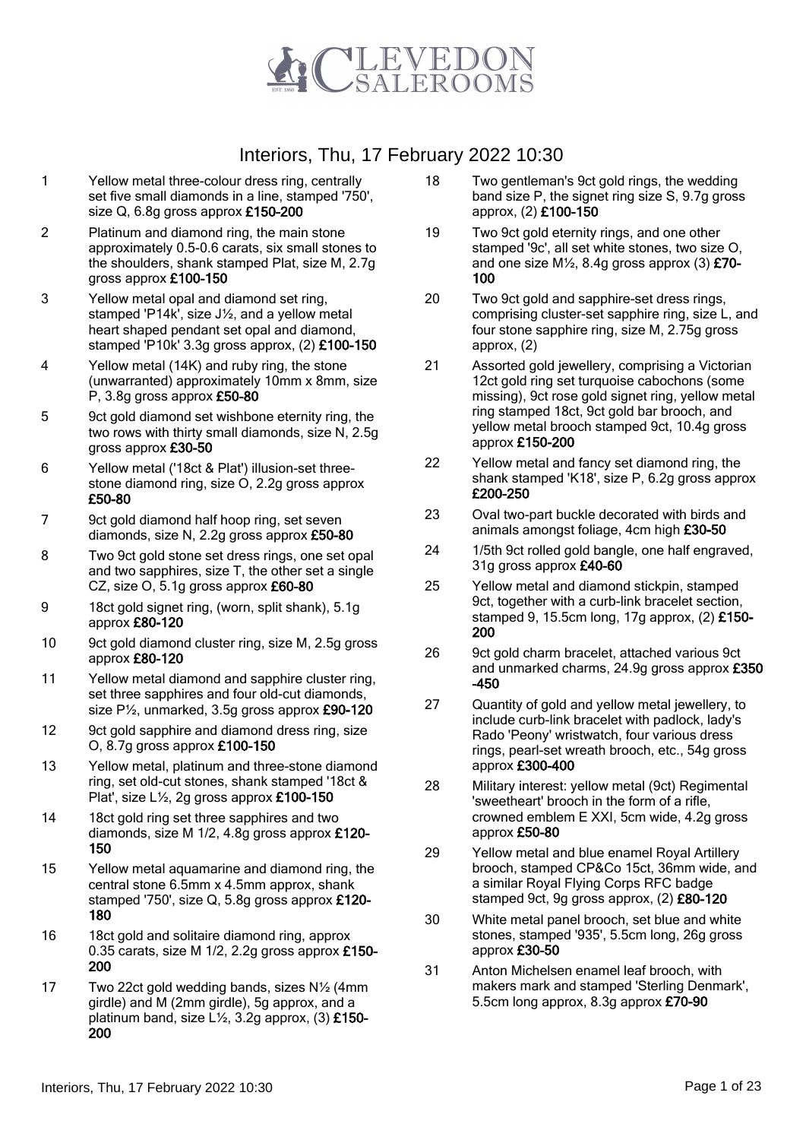

- 1 Yellow metal three-colour dress ring, centrally set five small diamonds in a line, stamped '750', size Q, 6.8g gross approx £150-200
- 2 Platinum and diamond ring, the main stone approximately 0.5-0.6 carats, six small stones to the shoulders, shank stamped Plat, size M, 2.7g gross approx £100-150
- 3 Yellow metal opal and diamond set ring, stamped 'P14k', size J½, and a yellow metal heart shaped pendant set opal and diamond, stamped 'P10k' 3.3g gross approx, (2) £100-150
- 4 Yellow metal (14K) and ruby ring, the stone (unwarranted) approximately 10mm x 8mm, size P, 3.8g gross approx £50-80
- 5 9ct gold diamond set wishbone eternity ring, the two rows with thirty small diamonds, size N, 2.5g gross approx £30-50
- 6 Yellow metal ('18ct & Plat') illusion-set threestone diamond ring, size O, 2.2g gross approx £50-80
- 7 9ct gold diamond half hoop ring, set seven diamonds, size N, 2.2g gross approx £50-80
- 8 Two 9ct gold stone set dress rings, one set opal and two sapphires, size T, the other set a single CZ, size O, 5.1g gross approx £60-80
- 9 18ct gold signet ring, (worn, split shank), 5.1g approx £80-120
- 10 9ct gold diamond cluster ring, size M, 2.5g gross approx £80-120
- 11 Yellow metal diamond and sapphire cluster ring, set three sapphires and four old-cut diamonds, size P½, unmarked, 3.5g gross approx £90-120
- 12 9ct gold sapphire and diamond dress ring, size O, 8.7g gross approx £100-150
- 13 Yellow metal, platinum and three-stone diamond ring, set old-cut stones, shank stamped '18ct & Plat', size L½, 2g gross approx £100-150
- 14 18ct gold ring set three sapphires and two diamonds, size M 1/2, 4.8g gross approx £120- 150
- 15 Yellow metal aquamarine and diamond ring, the central stone 6.5mm x 4.5mm approx, shank stamped '750', size Q, 5.8g gross approx £120- 180
- 16 18ct gold and solitaire diamond ring, approx 0.35 carats, size M 1/2, 2.2g gross approx £150- 200
- 17 Two 22ct gold wedding bands, sizes N½ (4mm girdle) and M (2mm girdle), 5g approx, and a platinum band, size  $L\frac{1}{2}$ , 3.2g approx, (3) £150-200
- 18 Two gentleman's 9ct gold rings, the wedding band size P, the signet ring size S, 9.7g gross approx, (2) £100-150
- 19 Two 9ct gold eternity rings, and one other stamped '9c', all set white stones, two size O, and one size M $\frac{1}{2}$ , 8.4g gross approx (3) £70-100
- 20 Two 9ct gold and sapphire-set dress rings, comprising cluster-set sapphire ring, size L, and four stone sapphire ring, size M, 2.75g gross approx, (2)
- 21 Assorted gold jewellery, comprising a Victorian 12ct gold ring set turquoise cabochons (some missing), 9ct rose gold signet ring, yellow metal ring stamped 18ct, 9ct gold bar brooch, and yellow metal brooch stamped 9ct, 10.4g gross approx £150-200
- 22 Yellow metal and fancy set diamond ring, the shank stamped 'K18', size P, 6.2g gross approx £200-250
- 23 Oval two-part buckle decorated with birds and animals amongst foliage, 4cm high £30-50
- 24 1/5th 9ct rolled gold bangle, one half engraved, 31g gross approx £40-60
- 25 Yellow metal and diamond stickpin, stamped 9ct, together with a curb-link bracelet section, stamped 9, 15.5cm long, 17g approx, (2) £150-200
- 26 9ct gold charm bracelet, attached various 9ct and unmarked charms, 24.9g gross approx £350 -450
- 27 Quantity of gold and yellow metal jewellery, to include curb-link bracelet with padlock, lady's Rado 'Peony' wristwatch, four various dress rings, pearl-set wreath brooch, etc., 54g gross approx £300-400
- 28 Military interest: yellow metal (9ct) Regimental 'sweetheart' brooch in the form of a rifle, crowned emblem E XXI, 5cm wide, 4.2g gross approx £50-80
- 29 Yellow metal and blue enamel Royal Artillery brooch, stamped CP&Co 15ct, 36mm wide, and a similar Royal Flying Corps RFC badge stamped 9ct, 9g gross approx, (2) £80-120
- 30 White metal panel brooch, set blue and white stones, stamped '935', 5.5cm long, 26g gross approx £30-50
- 31 Anton Michelsen enamel leaf brooch, with makers mark and stamped 'Sterling Denmark', 5.5cm long approx, 8.3g approx £70-90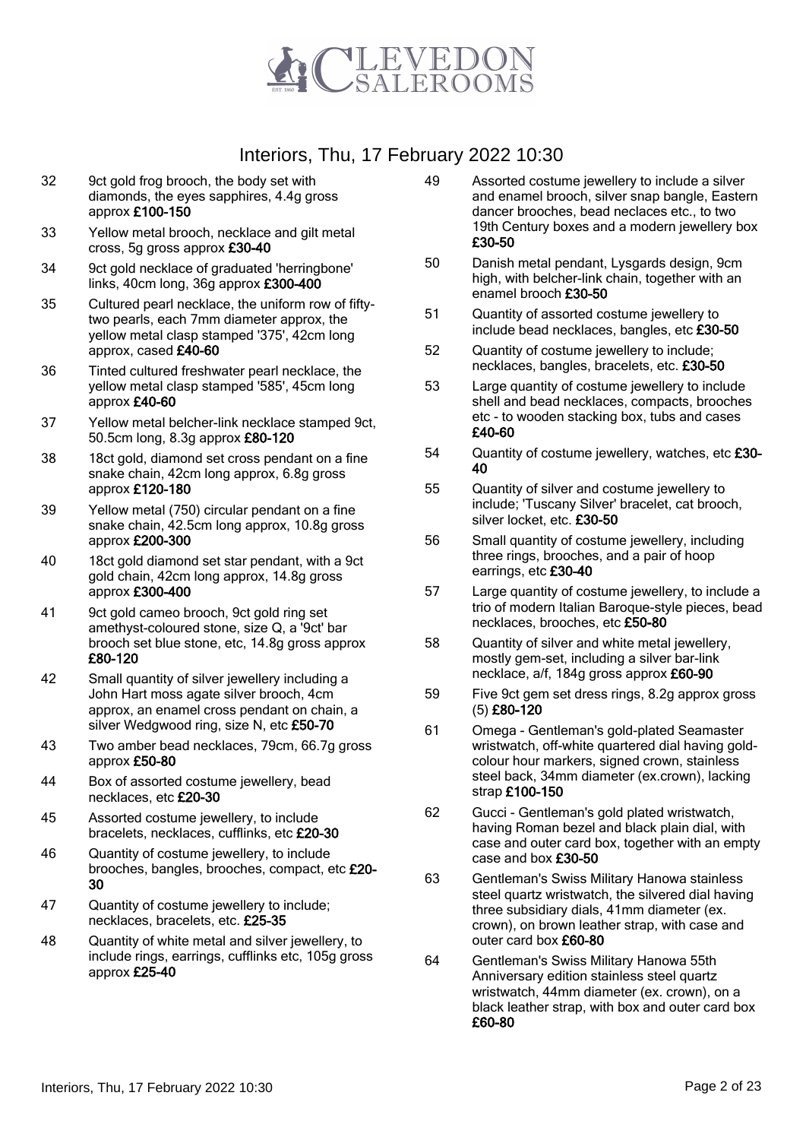

- 32 9ct gold frog brooch, the body set with diamonds, the eyes sapphires, 4.4g gross approx £100-150
- 33 Yellow metal brooch, necklace and gilt metal cross, 5g gross approx £30-40
- 34 9ct gold necklace of graduated 'herringbone' links, 40cm long, 36g approx £300-400
- 35 Cultured pearl necklace, the uniform row of fiftytwo pearls, each 7mm diameter approx, the yellow metal clasp stamped '375', 42cm long approx, cased £40-60
- 36 Tinted cultured freshwater pearl necklace, the yellow metal clasp stamped '585', 45cm long approx £40-60
- 37 Yellow metal belcher-link necklace stamped 9ct, 50.5cm long, 8.3g approx £80-120
- 38 18ct gold, diamond set cross pendant on a fine snake chain, 42cm long approx, 6.8g gross approx £120-180
- 39 Yellow metal (750) circular pendant on a fine snake chain, 42.5cm long approx, 10.8g gross approx £200-300
- 40 18ct gold diamond set star pendant, with a 9ct gold chain, 42cm long approx, 14.8g gross approx £300-400
- 41 9ct gold cameo brooch, 9ct gold ring set amethyst-coloured stone, size Q, a '9ct' bar brooch set blue stone, etc, 14.8g gross approx £80-120
- 42 Small quantity of silver jewellery including a John Hart moss agate silver brooch, 4cm approx, an enamel cross pendant on chain, a silver Wedgwood ring, size N, etc £50-70
- 43 Two amber bead necklaces, 79cm, 66.7g gross approx £50-80
- 44 Box of assorted costume jewellery, bead necklaces, etc £20-30
- 45 Assorted costume jewellery, to include bracelets, necklaces, cufflinks, etc £20-30
- 46 Quantity of costume jewellery, to include brooches, bangles, brooches, compact, etc £20- 30
- 47 Quantity of costume jewellery to include; necklaces, bracelets, etc. £25-35
- 48 Quantity of white metal and silver jewellery, to include rings, earrings, cufflinks etc, 105g gross approx £25-40
- 49 Assorted costume jewellery to include a silver and enamel brooch, silver snap bangle, Eastern dancer brooches, bead neclaces etc., to two 19th Century boxes and a modern jewellery box £30-50
- 50 Danish metal pendant, Lysgards design, 9cm high, with belcher-link chain, together with an enamel brooch £30-50
- 51 Quantity of assorted costume jewellery to include bead necklaces, bangles, etc £30-50
- 52 Quantity of costume jewellery to include; necklaces, bangles, bracelets, etc. £30-50
- 53 Large quantity of costume jewellery to include shell and bead necklaces, compacts, brooches etc - to wooden stacking box, tubs and cases £40-60
- 54 Quantity of costume jewellery, watches, etc £30- 40
- 55 Quantity of silver and costume jewellery to include; 'Tuscany Silver' bracelet, cat brooch, silver locket, etc. £30-50
- 56 Small quantity of costume jewellery, including three rings, brooches, and a pair of hoop earrings, etc £30-40
- 57 Large quantity of costume jewellery, to include a trio of modern Italian Baroque-style pieces, bead necklaces, brooches, etc £50-80
- 58 Quantity of silver and white metal jewellery, mostly gem-set, including a silver bar-link necklace, a/f, 184g gross approx £60-90
- 59 Five 9ct gem set dress rings, 8.2g approx gross (5) £80-120
- 61 Omega Gentleman's gold-plated Seamaster wristwatch, off-white quartered dial having goldcolour hour markers, signed crown, stainless steel back, 34mm diameter (ex.crown), lacking strap £100-150
- 62 Gucci Gentleman's gold plated wristwatch, having Roman bezel and black plain dial, with case and outer card box, together with an empty case and box £30-50
- 63 Gentleman's Swiss Military Hanowa stainless steel quartz wristwatch, the silvered dial having three subsidiary dials, 41mm diameter (ex. crown), on brown leather strap, with case and outer card box £60-80
- 64 Gentleman's Swiss Military Hanowa 55th Anniversary edition stainless steel quartz wristwatch, 44mm diameter (ex. crown), on a black leather strap, with box and outer card box £60-80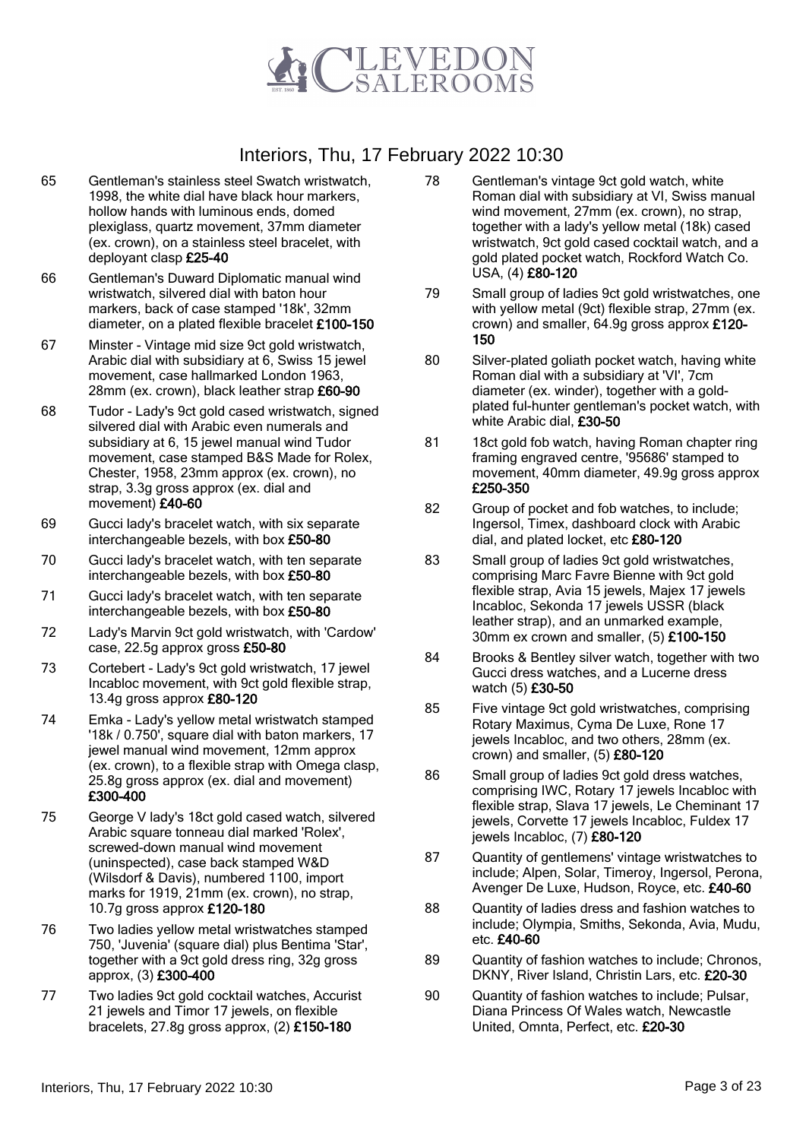

- 65 Gentleman's stainless steel Swatch wristwatch, 1998, the white dial have black hour markers, hollow hands with luminous ends, domed plexiglass, quartz movement, 37mm diameter (ex. crown), on a stainless steel bracelet, with deployant clasp £25-40
- 66 Gentleman's Duward Diplomatic manual wind wristwatch, silvered dial with baton hour markers, back of case stamped '18k', 32mm diameter, on a plated flexible bracelet £100-150
- 67 Minster Vintage mid size 9ct gold wristwatch, Arabic dial with subsidiary at 6, Swiss 15 jewel movement, case hallmarked London 1963, 28mm (ex. crown), black leather strap £60-90
- 68 Tudor Lady's 9ct gold cased wristwatch, signed silvered dial with Arabic even numerals and subsidiary at 6, 15 jewel manual wind Tudor movement, case stamped B&S Made for Rolex, Chester, 1958, 23mm approx (ex. crown), no strap, 3.3g gross approx (ex. dial and movement) £40-60
- 69 Gucci lady's bracelet watch, with six separate interchangeable bezels, with box £50-80
- 70 Gucci lady's bracelet watch, with ten separate interchangeable bezels, with box £50-80
- 71 Gucci lady's bracelet watch, with ten separate interchangeable bezels, with box £50-80
- 72 Lady's Marvin 9ct gold wristwatch, with 'Cardow' case, 22.5g approx gross £50-80
- 73 Cortebert Lady's 9ct gold wristwatch, 17 jewel Incabloc movement, with 9ct gold flexible strap, 13.4g gross approx £80-120
- 74 Emka Lady's yellow metal wristwatch stamped '18k / 0.750', square dial with baton markers, 17 jewel manual wind movement, 12mm approx (ex. crown), to a flexible strap with Omega clasp, 25.8g gross approx (ex. dial and movement) £300-400
- 75 George V lady's 18ct gold cased watch, silvered Arabic square tonneau dial marked 'Rolex', screwed-down manual wind movement (uninspected), case back stamped W&D (Wilsdorf & Davis), numbered 1100, import marks for 1919, 21mm (ex. crown), no strap, 10.7g gross approx £120-180
- 76 Two ladies yellow metal wristwatches stamped 750, 'Juvenia' (square dial) plus Bentima 'Star', together with a 9ct gold dress ring, 32g gross approx, (3) £300-400
- 77 Two ladies 9ct gold cocktail watches, Accurist 21 jewels and Timor 17 jewels, on flexible bracelets, 27.8g gross approx, (2) £150-180
- 78 Gentleman's vintage 9ct gold watch, white Roman dial with subsidiary at VI, Swiss manual wind movement, 27mm (ex. crown), no strap, together with a lady's yellow metal (18k) cased wristwatch, 9ct gold cased cocktail watch, and a gold plated pocket watch, Rockford Watch Co. USA, (4) £80-120
- 79 Small group of ladies 9ct gold wristwatches, one with yellow metal (9ct) flexible strap, 27mm (ex. crown) and smaller, 64.9g gross approx £120- 150
- 80 Silver-plated goliath pocket watch, having white Roman dial with a subsidiary at 'VI', 7cm diameter (ex. winder), together with a goldplated ful-hunter gentleman's pocket watch, with white Arabic dial, £30-50
- 81 18ct gold fob watch, having Roman chapter ring framing engraved centre, '95686' stamped to movement, 40mm diameter, 49.9g gross approx £250-350
- 82 Group of pocket and fob watches, to include; Ingersol, Timex, dashboard clock with Arabic dial, and plated locket, etc £80-120
- 83 Small group of ladies 9ct gold wristwatches, comprising Marc Favre Bienne with 9ct gold flexible strap, Avia 15 jewels, Majex 17 jewels Incabloc, Sekonda 17 jewels USSR (black leather strap), and an unmarked example, 30mm ex crown and smaller, (5) £100-150
- 84 Brooks & Bentley silver watch, together with two Gucci dress watches, and a Lucerne dress watch (5) £30-50
- 85 Five vintage 9ct gold wristwatches, comprising Rotary Maximus, Cyma De Luxe, Rone 17 jewels Incabloc, and two others, 28mm (ex. crown) and smaller, (5) £80-120
- 86 Small group of ladies 9ct gold dress watches, comprising IWC, Rotary 17 jewels Incabloc with flexible strap, Slava 17 jewels, Le Cheminant 17 jewels, Corvette 17 jewels Incabloc, Fuldex 17 jewels Incabloc, (7) £80-120
- 87 Quantity of gentlemens' vintage wristwatches to include; Alpen, Solar, Timeroy, Ingersol, Perona, Avenger De Luxe, Hudson, Royce, etc. £40-60
- 88 Quantity of ladies dress and fashion watches to include; Olympia, Smiths, Sekonda, Avia, Mudu, etc. £40-60
- 89 Quantity of fashion watches to include; Chronos, DKNY, River Island, Christin Lars, etc. £20-30
- 90 Quantity of fashion watches to include; Pulsar, Diana Princess Of Wales watch, Newcastle United, Omnta, Perfect, etc. £20-30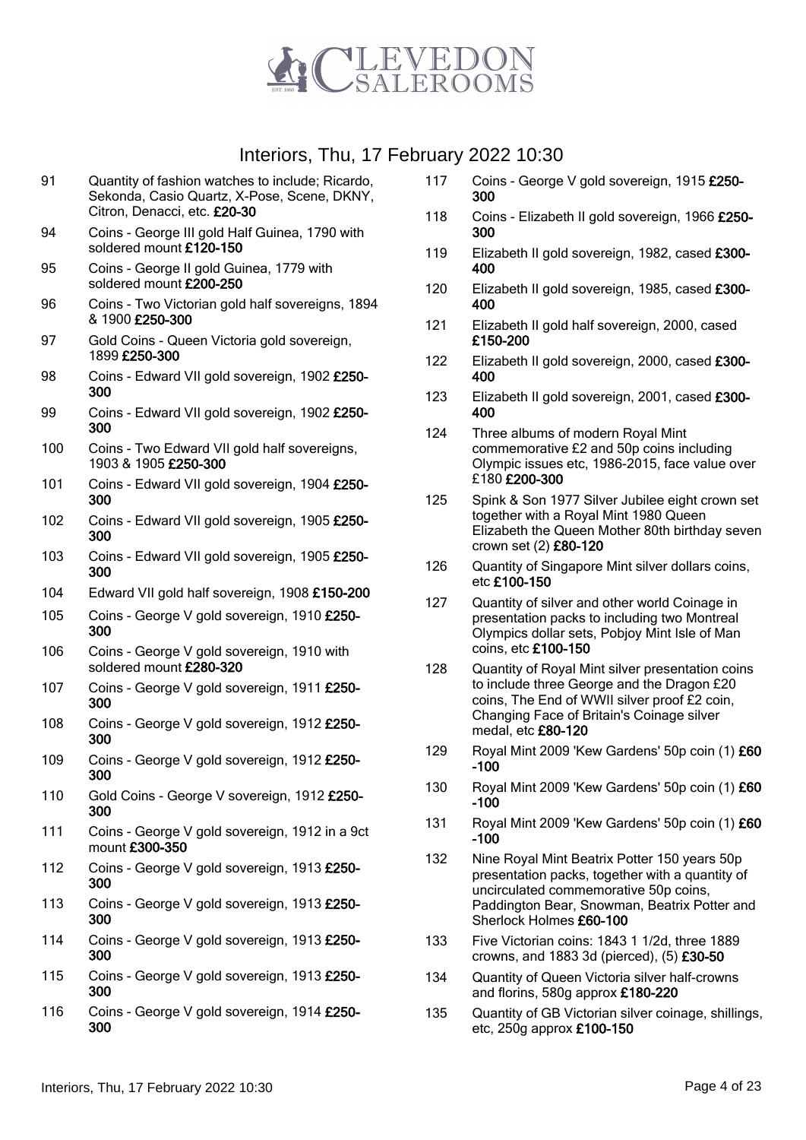

- 91 Quantity of fashion watches to include; Ricardo, Sekonda, Casio Quartz, X-Pose, Scene, DKNY, Citron, Denacci, etc. £20-30
- 94 Coins George III gold Half Guinea, 1790 with soldered mount £120-150
- 95 Coins George II gold Guinea, 1779 with soldered mount £200-250
- 96 Coins Two Victorian gold half sovereigns, 1894 & 1900 £250-300
- 97 Gold Coins Queen Victoria gold sovereign, 1899 £250-300
- 98 Coins Edward VII gold sovereign, 1902 £250-300
- 99 Coins Edward VII gold sovereign, 1902 £250-300
- 100 Coins Two Edward VII gold half sovereigns, 1903 & 1905 £250-300
- 101 Coins Edward VII gold sovereign, 1904 £250-300
- 102 Coins Edward VII gold sovereign, 1905 £250-300
- 103 Coins Edward VII gold sovereign, 1905 £250-300
- 104 Edward VII gold half sovereign, 1908 £150-200
- 105 Coins George V gold sovereign, 1910 £250-300
- 106 Coins George V gold sovereign, 1910 with soldered mount £280-320
- 107 Coins George V gold sovereign, 1911 £250-300
- 108 Coins George V gold sovereign, 1912 £250-300
- 109 Coins George V gold sovereign, 1912 £250-300
- 110 Gold Coins George V sovereign, 1912 £250-300
- 111 Coins George V gold sovereign, 1912 in a 9ct mount £300-350
- 112 Coins George V gold sovereign, 1913 £250-300
- 113 Coins George V gold sovereign, 1913 £250-300
- 114 Coins George V gold sovereign, 1913 £250-300
- 115 Coins George V gold sovereign, 1913 £250-300
- 116 Coins George V gold sovereign, 1914 £250-300
- 117 Coins George V gold sovereign, 1915 £250-300
- 118 Coins Elizabeth II gold sovereign, 1966 £250-300
- 119 Elizabeth II gold sovereign, 1982, cased £300-400
- 120 Elizabeth II gold sovereign, 1985, cased £300-400
- 121 Elizabeth II gold half sovereign, 2000, cased £150-200
- 122 Elizabeth II gold sovereign, 2000, cased £300-400
- 123 Elizabeth II gold sovereign, 2001, cased £300-400
- 124 Three albums of modern Royal Mint commemorative £2 and 50p coins including Olympic issues etc, 1986-2015, face value over £180 £200-300
- 125 Spink & Son 1977 Silver Jubilee eight crown set together with a Royal Mint 1980 Queen Elizabeth the Queen Mother 80th birthday seven crown set (2) £80-120
- 126 Quantity of Singapore Mint silver dollars coins, etc £100-150
- 127 Quantity of silver and other world Coinage in presentation packs to including two Montreal Olympics dollar sets, Pobjoy Mint Isle of Man coins, etc £100-150
- 128 Quantity of Royal Mint silver presentation coins to include three George and the Dragon £20 coins, The End of WWII silver proof £2 coin, Changing Face of Britain's Coinage silver medal, etc £80-120
- 129 Royal Mint 2009 'Kew Gardens' 50p coin (1) £60 -100
- 130 Royal Mint 2009 'Kew Gardens' 50p coin (1) £60 -100
- 131 Royal Mint 2009 'Kew Gardens' 50p coin (1) £60 -100
- 132 Nine Royal Mint Beatrix Potter 150 years 50p presentation packs, together with a quantity of uncirculated commemorative 50p coins, Paddington Bear, Snowman, Beatrix Potter and Sherlock Holmes £60-100
- 133 Five Victorian coins: 1843 1 1/2d, three 1889 crowns, and 1883 3d (pierced), (5) £30-50
- 134 Ouantity of Queen Victoria silver half-crowns and florins, 580g approx £180-220
- 135 Quantity of GB Victorian silver coinage, shillings, etc, 250g approx £100-150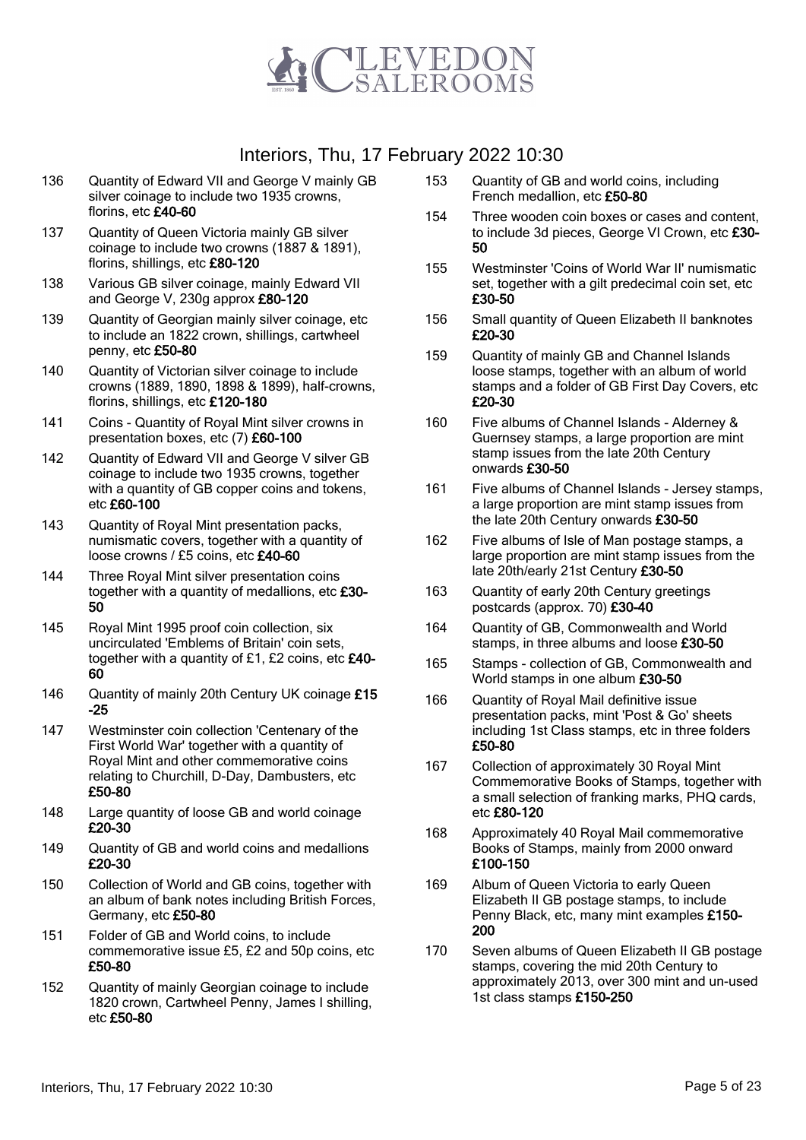

- 136 Quantity of Edward VII and George V mainly GB silver coinage to include two 1935 crowns, florins, etc £40-60
- 137 Quantity of Queen Victoria mainly GB silver coinage to include two crowns (1887 & 1891), florins, shillings, etc £80-120
- 138 Various GB silver coinage, mainly Edward VII and George V, 230g approx £80-120
- 139 Quantity of Georgian mainly silver coinage, etc to include an 1822 crown, shillings, cartwheel penny, etc £50-80
- 140 Quantity of Victorian silver coinage to include crowns (1889, 1890, 1898 & 1899), half-crowns, florins, shillings, etc £120-180
- 141 Coins Quantity of Royal Mint silver crowns in presentation boxes, etc (7) £60-100
- 142 Quantity of Edward VII and George V silver GB coinage to include two 1935 crowns, together with a quantity of GB copper coins and tokens, etc £60-100
- 143 Quantity of Royal Mint presentation packs, numismatic covers, together with a quantity of loose crowns / £5 coins, etc £40-60
- 144 Three Royal Mint silver presentation coins together with a quantity of medallions, etc £30-50
- 145 Royal Mint 1995 proof coin collection, six uncirculated 'Emblems of Britain' coin sets, together with a quantity of £1, £2 coins, etc £40-60
- 146 Quantity of mainly 20th Century UK coinage £15 -25
- 147 Westminster coin collection 'Centenary of the First World War' together with a quantity of Royal Mint and other commemorative coins relating to Churchill, D-Day, Dambusters, etc £50-80
- 148 Large quantity of loose GB and world coinage £20-30
- 149 Quantity of GB and world coins and medallions £20-30
- 150 Collection of World and GB coins, together with an album of bank notes including British Forces, Germany, etc £50-80
- 151 Folder of GB and World coins, to include commemorative issue £5, £2 and 50p coins, etc £50-80
- 152 Quantity of mainly Georgian coinage to include 1820 crown, Cartwheel Penny, James I shilling, etc £50-80
- 153 Quantity of GB and world coins, including French medallion, etc £50-80
- 154 Three wooden coin boxes or cases and content, to include 3d pieces, George VI Crown, etc £30-50
- 155 Westminster 'Coins of World War II' numismatic set, together with a gilt predecimal coin set, etc £30-50
- 156 Small quantity of Queen Elizabeth II banknotes £20-30
- 159 Quantity of mainly GB and Channel Islands loose stamps, together with an album of world stamps and a folder of GB First Day Covers, etc £20-30
- 160 Five albums of Channel Islands Alderney & Guernsey stamps, a large proportion are mint stamp issues from the late 20th Century onwards £30-50
- 161 Five albums of Channel Islands Jersey stamps, a large proportion are mint stamp issues from the late 20th Century onwards £30-50
- 162 Five albums of Isle of Man postage stamps, a large proportion are mint stamp issues from the late 20th/early 21st Century £30-50
- 163 Quantity of early 20th Century greetings postcards (approx. 70) £30-40
- 164 Quantity of GB, Commonwealth and World stamps, in three albums and loose £30-50
- 165 Stamps collection of GB, Commonwealth and World stamps in one album £30-50
- 166 Quantity of Royal Mail definitive issue presentation packs, mint 'Post & Go' sheets including 1st Class stamps, etc in three folders £50-80
- 167 Collection of approximately 30 Royal Mint Commemorative Books of Stamps, together with a small selection of franking marks, PHQ cards, etc £80-120
- 168 Approximately 40 Royal Mail commemorative Books of Stamps, mainly from 2000 onward £100-150
- 169 Album of Queen Victoria to early Queen Elizabeth II GB postage stamps, to include Penny Black, etc, many mint examples £150- 200
- 170 Seven albums of Queen Elizabeth II GB postage stamps, covering the mid 20th Century to approximately 2013, over 300 mint and un-used 1st class stamps £150-250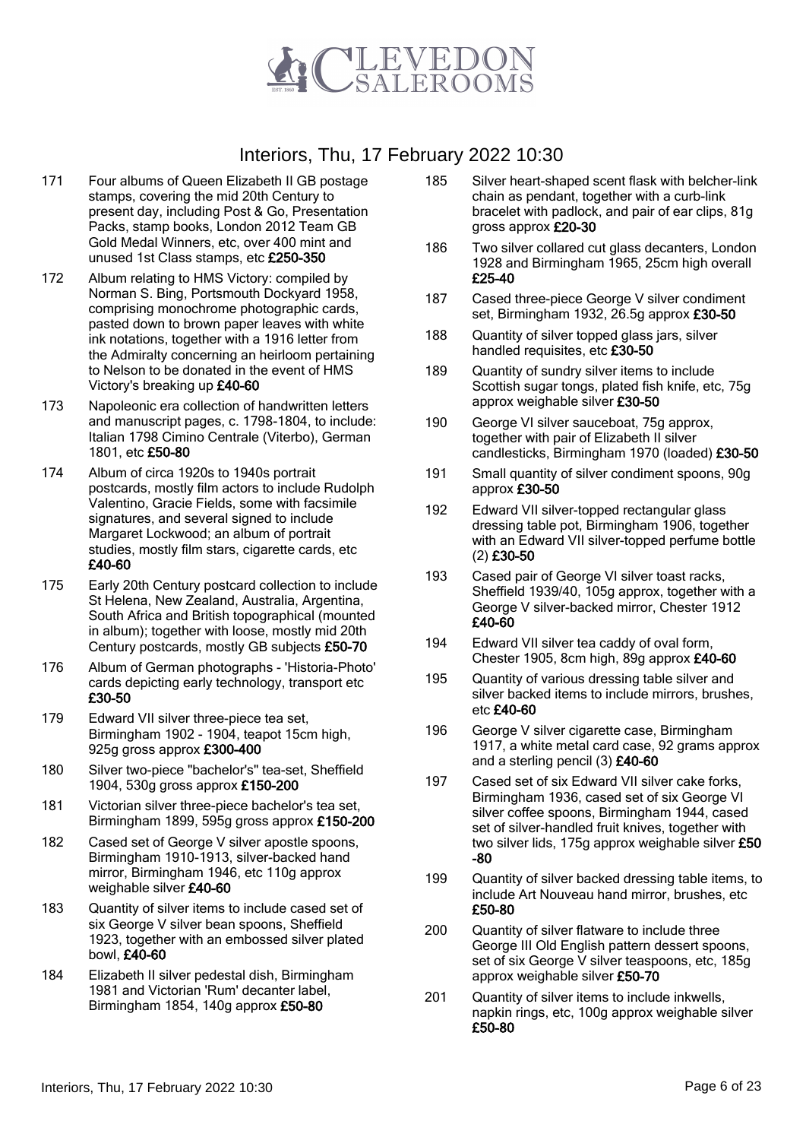

- 171 Four albums of Queen Elizabeth II GB postage stamps, covering the mid 20th Century to present day, including Post & Go, Presentation Packs, stamp books, London 2012 Team GB Gold Medal Winners, etc, over 400 mint and unused 1st Class stamps, etc £250-350
- 172 Album relating to HMS Victory: compiled by Norman S. Bing, Portsmouth Dockyard 1958, comprising monochrome photographic cards, pasted down to brown paper leaves with white ink notations, together with a 1916 letter from the Admiralty concerning an heirloom pertaining to Nelson to be donated in the event of HMS Victory's breaking up £40-60
- 173 Napoleonic era collection of handwritten letters and manuscript pages, c. 1798-1804, to include: Italian 1798 Cimino Centrale (Viterbo), German 1801, etc £50-80
- 174 Album of circa 1920s to 1940s portrait postcards, mostly film actors to include Rudolph Valentino, Gracie Fields, some with facsimile signatures, and several signed to include Margaret Lockwood; an album of portrait studies, mostly film stars, cigarette cards, etc £40-60
- 175 Early 20th Century postcard collection to include St Helena, New Zealand, Australia, Argentina, South Africa and British topographical (mounted in album); together with loose, mostly mid 20th Century postcards, mostly GB subjects £50-70
- 176 Album of German photographs 'Historia-Photo' cards depicting early technology, transport etc £30-50
- 179 Edward VII silver three-piece tea set, Birmingham 1902 - 1904, teapot 15cm high, 925g gross approx £300-400
- 180 Silver two-piece "bachelor's" tea-set, Sheffield 1904, 530g gross approx £150-200
- 181 Victorian silver three-piece bachelor's tea set, Birmingham 1899, 595g gross approx £150-200
- 182 Cased set of George V silver apostle spoons, Birmingham 1910-1913, silver-backed hand mirror, Birmingham 1946, etc 110g approx weighable silver £40-60
- 183 Quantity of silver items to include cased set of six George V silver bean spoons, Sheffield 1923, together with an embossed silver plated bowl, £40-60
- 184 Elizabeth II silver pedestal dish, Birmingham 1981 and Victorian 'Rum' decanter label, Birmingham 1854, 140g approx £50-80
- 185 Silver heart-shaped scent flask with belcher-link chain as pendant, together with a curb-link bracelet with padlock, and pair of ear clips, 81g gross approx £20-30
- 186 Two silver collared cut glass decanters, London 1928 and Birmingham 1965, 25cm high overall £25-40
- 187 Cased three-piece George V silver condiment set, Birmingham 1932, 26.5g approx £30-50
- 188 Quantity of silver topped glass jars, silver handled requisites, etc £30-50
- 189 Quantity of sundry silver items to include Scottish sugar tongs, plated fish knife, etc, 75g approx weighable silver £30-50
- 190 George VI silver sauceboat, 75g approx, together with pair of Elizabeth II silver candlesticks, Birmingham 1970 (loaded) £30-50
- 191 Small quantity of silver condiment spoons, 90g approx £30-50
- 192 Edward VII silver-topped rectangular glass dressing table pot, Birmingham 1906, together with an Edward VII silver-topped perfume bottle (2) £30-50
- 193 Cased pair of George VI silver toast racks, Sheffield 1939/40, 105g approx, together with a George V silver-backed mirror, Chester 1912 £40-60
- 194 Edward VII silver tea caddy of oval form, Chester 1905, 8cm high, 89g approx £40-60
- 195 Quantity of various dressing table silver and silver backed items to include mirrors, brushes, etc £40-60
- 196 George V silver cigarette case, Birmingham 1917, a white metal card case, 92 grams approx and a sterling pencil (3) £40-60
- 197 Cased set of six Edward VII silver cake forks, Birmingham 1936, cased set of six George VI silver coffee spoons, Birmingham 1944, cased set of silver-handled fruit knives, together with two silver lids, 175g approx weighable silver £50 -80
- 199 Quantity of silver backed dressing table items, to include Art Nouveau hand mirror, brushes, etc £50-80
- 200 Quantity of silver flatware to include three George III Old English pattern dessert spoons, set of six George V silver teaspoons, etc, 185g approx weighable silver £50-70
- 201 Quantity of silver items to include inkwells, napkin rings, etc, 100g approx weighable silver £50-80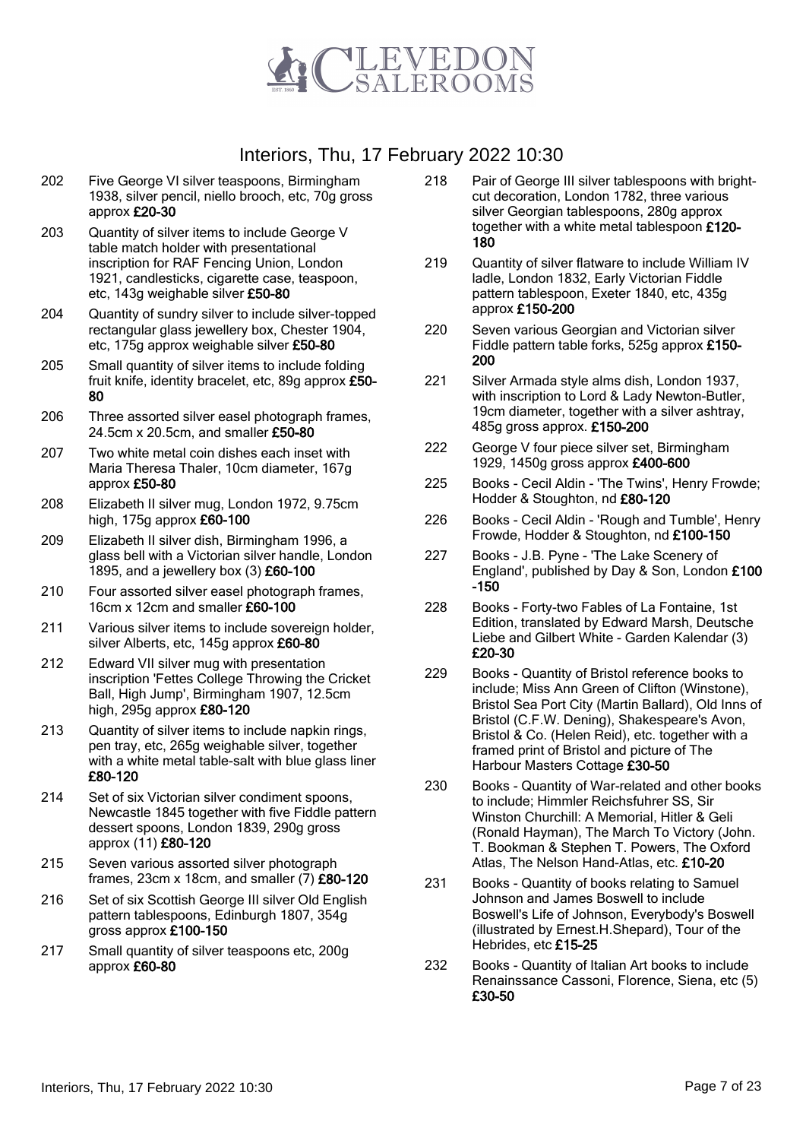

- 202 Five George VI silver teaspoons, Birmingham 1938, silver pencil, niello brooch, etc, 70g gross approx £20-30
- 203 Quantity of silver items to include George V table match holder with presentational inscription for RAF Fencing Union, London 1921, candlesticks, cigarette case, teaspoon, etc, 143g weighable silver £50-80
- 204 Quantity of sundry silver to include silver-topped rectangular glass jewellery box, Chester 1904, etc, 175g approx weighable silver £50-80
- 205 Small quantity of silver items to include folding fruit knife, identity bracelet, etc, 89g approx £50- 80
- 206 Three assorted silver easel photograph frames, 24.5cm x 20.5cm, and smaller £50-80
- 207 Two white metal coin dishes each inset with Maria Theresa Thaler, 10cm diameter, 167g approx £50-80
- 208 Elizabeth II silver mug, London 1972, 9.75cm high, 175g approx £60-100
- 209 Elizabeth II silver dish, Birmingham 1996, a glass bell with a Victorian silver handle, London 1895, and a jewellery box (3) £60-100
- 210 Four assorted silver easel photograph frames, 16cm x 12cm and smaller £60-100
- 211 Various silver items to include sovereign holder, silver Alberts, etc, 145g approx £60-80
- 212 Edward VII silver mug with presentation inscription 'Fettes College Throwing the Cricket Ball, High Jump', Birmingham 1907, 12.5cm high, 295g approx £80-120
- 213 Quantity of silver items to include napkin rings, pen tray, etc, 265g weighable silver, together with a white metal table-salt with blue glass liner £80-120
- 214 Set of six Victorian silver condiment spoons, Newcastle 1845 together with five Fiddle pattern dessert spoons, London 1839, 290g gross approx (11) £80-120
- 215 Seven various assorted silver photograph frames, 23cm x 18cm, and smaller (7) £80-120
- 216 Set of six Scottish George III silver Old English pattern tablespoons, Edinburgh 1807, 354g gross approx £100-150
- 217 Small quantity of silver teaspoons etc, 200g approx £60-80
- 218 Pair of George III silver tablespoons with brightcut decoration, London 1782, three various silver Georgian tablespoons, 280g approx together with a white metal tablespoon £120- 180
- 219 Quantity of silver flatware to include William IV ladle, London 1832, Early Victorian Fiddle pattern tablespoon, Exeter 1840, etc, 435g approx £150-200
- 220 Seven various Georgian and Victorian silver Fiddle pattern table forks, 525g approx £150- 200
- 221 Silver Armada style alms dish, London 1937, with inscription to Lord & Lady Newton-Butler, 19cm diameter, together with a silver ashtray, 485g gross approx. £150-200
- 222 George V four piece silver set, Birmingham 1929, 1450g gross approx £400-600
- 225 Books Cecil Aldin 'The Twins', Henry Frowde; Hodder & Stoughton, nd £80-120
- 226 Books Cecil Aldin 'Rough and Tumble', Henry Frowde, Hodder & Stoughton, nd £100-150
- 227 Books J.B. Pyne 'The Lake Scenery of England', published by Day & Son, London £100 -150
- 228 Books Forty-two Fables of La Fontaine, 1st Edition, translated by Edward Marsh, Deutsche Liebe and Gilbert White - Garden Kalendar (3) £20-30
- 229 Books Quantity of Bristol reference books to include; Miss Ann Green of Clifton (Winstone), Bristol Sea Port City (Martin Ballard), Old Inns of Bristol (C.F.W. Dening), Shakespeare's Avon, Bristol & Co. (Helen Reid), etc. together with a framed print of Bristol and picture of The Harbour Masters Cottage £30-50
- 230 Books Quantity of War-related and other books to include; Himmler Reichsfuhrer SS, Sir Winston Churchill: A Memorial, Hitler & Geli (Ronald Hayman), The March To Victory (John. T. Bookman & Stephen T. Powers, The Oxford Atlas, The Nelson Hand-Atlas, etc. £10-20
- 231 Books Quantity of books relating to Samuel Johnson and James Boswell to include Boswell's Life of Johnson, Everybody's Boswell (illustrated by Ernest.H.Shepard), Tour of the Hebrides, etc £15-25
- 232 Books Quantity of Italian Art books to include Renainssance Cassoni, Florence, Siena, etc (5) £30-50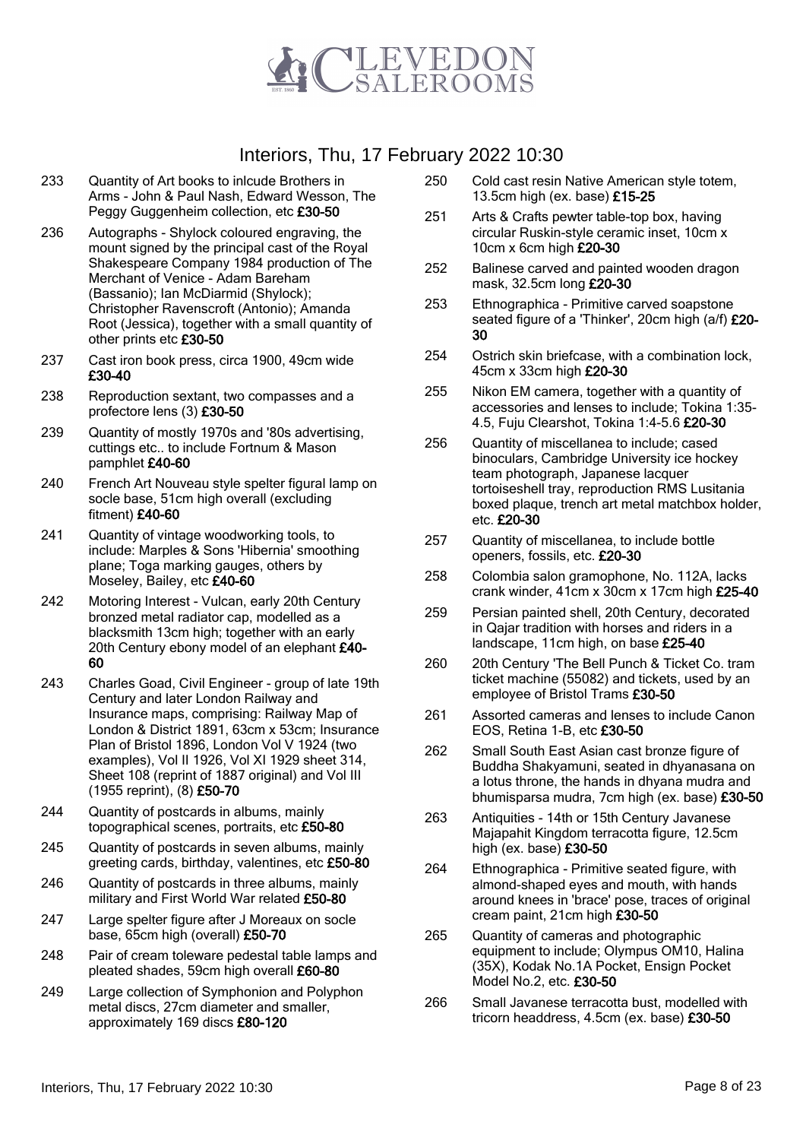

- 233 Quantity of Art books to inlcude Brothers in Arms - John & Paul Nash, Edward Wesson, The Peggy Guggenheim collection, etc £30-50
- 236 Autographs Shylock coloured engraving, the mount signed by the principal cast of the Royal Shakespeare Company 1984 production of The Merchant of Venice - Adam Bareham (Bassanio); Ian McDiarmid (Shylock); Christopher Ravenscroft (Antonio); Amanda Root (Jessica), together with a small quantity of other prints etc £30-50
- 237 Cast iron book press, circa 1900, 49cm wide £30-40
- 238 Reproduction sextant, two compasses and a profectore lens (3) £30-50
- 239 Quantity of mostly 1970s and '80s advertising, cuttings etc.. to include Fortnum & Mason pamphlet £40-60
- 240 French Art Nouveau style spelter figural lamp on socle base, 51cm high overall (excluding fitment) £40-60
- 241 Quantity of vintage woodworking tools, to include: Marples & Sons 'Hibernia' smoothing plane; Toga marking gauges, others by Moseley, Bailey, etc £40-60
- 242 Motoring Interest Vulcan, early 20th Century bronzed metal radiator cap, modelled as a blacksmith 13cm high; together with an early 20th Century ebony model of an elephant £40-60
- 243 Charles Goad, Civil Engineer group of late 19th Century and later London Railway and Insurance maps, comprising: Railway Map of London & District 1891, 63cm x 53cm; Insurance Plan of Bristol 1896, London Vol V 1924 (two examples), Vol II 1926, Vol XI 1929 sheet 314, Sheet 108 (reprint of 1887 original) and Vol III (1955 reprint), (8) £50-70
- 244 Quantity of postcards in albums, mainly topographical scenes, portraits, etc £50-80
- 245 Quantity of postcards in seven albums, mainly greeting cards, birthday, valentines, etc £50-80
- 246 Quantity of postcards in three albums, mainly military and First World War related £50-80
- 247 Large spelter figure after J Moreaux on socle base, 65cm high (overall) £50-70
- 248 Pair of cream toleware pedestal table lamps and pleated shades, 59cm high overall £60-80
- 249 Large collection of Symphonion and Polyphon metal discs, 27cm diameter and smaller, approximately 169 discs £80-120
- 250 Cold cast resin Native American style totem, 13.5cm high (ex. base) £15-25
- 251 Arts & Crafts pewter table-top box, having circular Ruskin-style ceramic inset, 10cm x 10cm x 6cm high £20-30
- 252 Balinese carved and painted wooden dragon mask, 32.5cm long £20-30
- 253 Ethnographica Primitive carved soapstone seated figure of a 'Thinker', 20cm high (a/f) £20-30
- 254 Ostrich skin briefcase, with a combination lock, 45cm x 33cm high £20-30
- 255 Nikon EM camera, together with a quantity of accessories and lenses to include; Tokina 1:35- 4.5, Fuju Clearshot, Tokina 1:4-5.6 £20-30
- 256 Quantity of miscellanea to include; cased binoculars, Cambridge University ice hockey team photograph, Japanese lacquer tortoiseshell tray, reproduction RMS Lusitania boxed plaque, trench art metal matchbox holder, etc. £20-30
- 257 Quantity of miscellanea, to include bottle openers, fossils, etc. £20-30
- 258 Colombia salon gramophone, No. 112A, lacks crank winder, 41cm x 30cm x 17cm high £25-40
- 259 Persian painted shell, 20th Century, decorated in Qajar tradition with horses and riders in a landscape, 11cm high, on base £25-40
- 260 20th Century 'The Bell Punch & Ticket Co. tram ticket machine (55082) and tickets, used by an employee of Bristol Trams £30-50
- 261 Assorted cameras and lenses to include Canon EOS, Retina 1-B, etc £30-50
- 262 Small South East Asian cast bronze figure of Buddha Shakyamuni, seated in dhyanasana on a lotus throne, the hands in dhyana mudra and bhumisparsa mudra, 7cm high (ex. base) £30-50
- 263 Antiquities 14th or 15th Century Javanese Majapahit Kingdom terracotta figure, 12.5cm high (ex. base) £30-50
- 264 Ethnographica Primitive seated figure, with almond-shaped eyes and mouth, with hands around knees in 'brace' pose, traces of original cream paint, 21cm high £30-50
- 265 Quantity of cameras and photographic equipment to include; Olympus OM10, Halina (35X), Kodak No.1A Pocket, Ensign Pocket Model No.2, etc. £30-50
- 266 Small Javanese terracotta bust, modelled with tricorn headdress, 4.5cm (ex. base) £30-50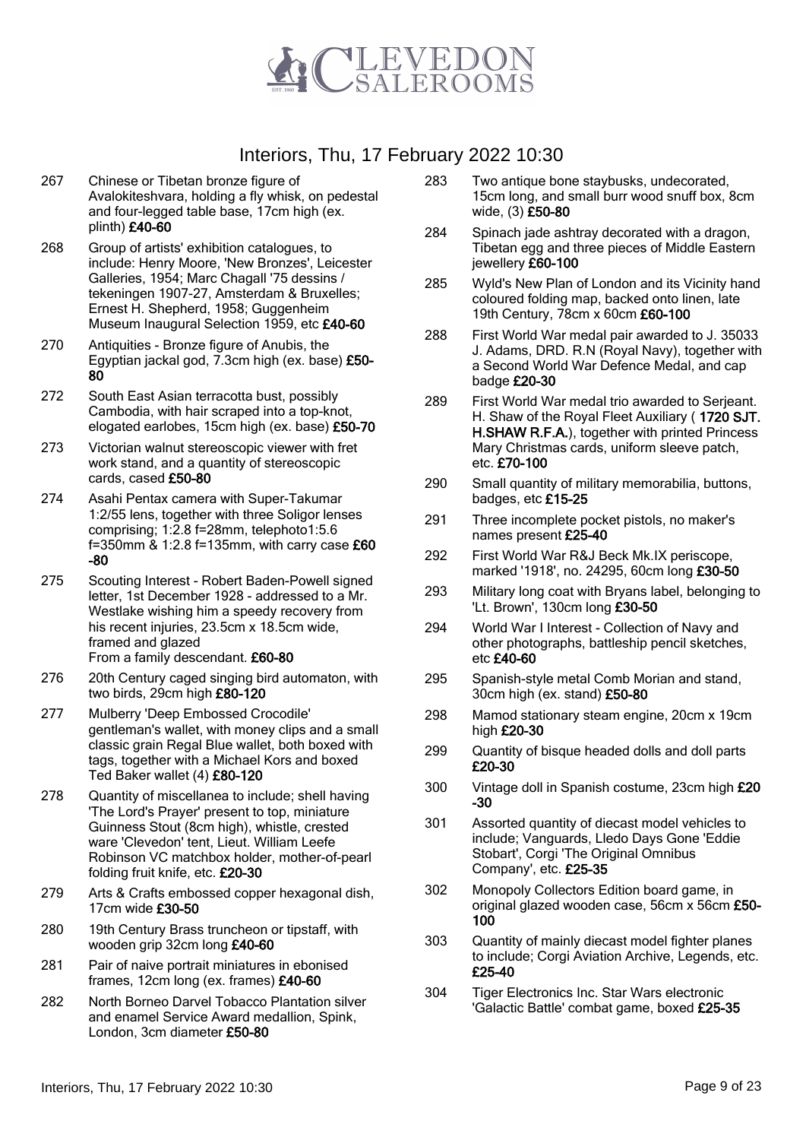

- 267 Chinese or Tibetan bronze figure of Avalokiteshvara, holding a fly whisk, on pedestal and four-legged table base, 17cm high (ex. plinth) £40-60
- 268 Group of artists' exhibition catalogues, to include: Henry Moore, 'New Bronzes', Leicester Galleries, 1954; Marc Chagall '75 dessins / tekeningen 1907-27, Amsterdam & Bruxelles; Ernest H. Shepherd, 1958; Guggenheim Museum Inaugural Selection 1959, etc £40-60
- 270 Antiquities Bronze figure of Anubis, the Egyptian jackal god, 7.3cm high (ex. base) £50- 80
- 272 South East Asian terracotta bust, possibly Cambodia, with hair scraped into a top-knot, elogated earlobes, 15cm high (ex. base) £50-70
- 273 Victorian walnut stereoscopic viewer with fret work stand, and a quantity of stereoscopic cards, cased £50-80
- 274 Asahi Pentax camera with Super-Takumar 1:2/55 lens, together with three Soligor lenses comprising; 1:2.8 f=28mm, telephoto1:5.6 f=350mm & 1:2.8 f=135mm, with carry case £60 -80
- 275 Scouting Interest Robert Baden-Powell signed letter, 1st December 1928 - addressed to a Mr. Westlake wishing him a speedy recovery from his recent injuries, 23.5cm x 18.5cm wide, framed and glazed From a family descendant. £60-80
- 276 20th Century caged singing bird automaton, with two birds, 29cm high £80-120
- 277 Mulberry 'Deep Embossed Crocodile' gentleman's wallet, with money clips and a small classic grain Regal Blue wallet, both boxed with tags, together with a Michael Kors and boxed Ted Baker wallet (4) £80-120
- 278 Quantity of miscellanea to include; shell having 'The Lord's Prayer' present to top, miniature Guinness Stout (8cm high), whistle, crested ware 'Clevedon' tent, Lieut. William Leefe Robinson VC matchbox holder, mother-of-pearl folding fruit knife, etc. £20-30
- 279 Arts & Crafts embossed copper hexagonal dish, 17cm wide £30-50
- 280 19th Century Brass truncheon or tipstaff, with wooden grip 32cm long £40-60
- 281 Pair of naive portrait miniatures in ebonised frames, 12cm long (ex. frames) £40-60
- 282 North Borneo Darvel Tobacco Plantation silver and enamel Service Award medallion, Spink, London, 3cm diameter £50-80
- 283 Two antique bone staybusks, undecorated, 15cm long, and small burr wood snuff box, 8cm wide, (3) £50-80
- 284 Spinach jade ashtray decorated with a dragon, Tibetan egg and three pieces of Middle Eastern jewellery £60-100
- 285 Wyld's New Plan of London and its Vicinity hand coloured folding map, backed onto linen, late 19th Century, 78cm x 60cm £60-100
- 288 First World War medal pair awarded to J. 35033 J. Adams, DRD. R.N (Royal Navy), together with a Second World War Defence Medal, and cap badge £20-30
- 289 First World War medal trio awarded to Serjeant. H. Shaw of the Royal Fleet Auxiliary (1720 SJT. H.SHAW R.F.A.), together with printed Princess Mary Christmas cards, uniform sleeve patch, etc. £70-100
- 290 Small quantity of military memorabilia, buttons, badges, etc £15-25
- 291 Three incomplete pocket pistols, no maker's names present £25-40
- 292 First World War R&J Beck Mk.IX periscope, marked '1918', no. 24295, 60cm long £30-50
- 293 Military long coat with Bryans label, belonging to 'Lt. Brown', 130cm long £30-50
- 294 World War I Interest Collection of Navy and other photographs, battleship pencil sketches, etc £40-60
- 295 Spanish-style metal Comb Morian and stand, 30cm high (ex. stand) £50-80
- 298 Mamod stationary steam engine, 20cm x 19cm high £20-30
- 299 Quantity of bisque headed dolls and doll parts £20-30
- 300 Vintage doll in Spanish costume, 23cm high £20 -30
- 301 Assorted quantity of diecast model vehicles to include; Vanguards, Lledo Days Gone 'Eddie Stobart', Corgi 'The Original Omnibus Company', etc. £25-35
- 302 Monopoly Collectors Edition board game, in original glazed wooden case, 56cm x 56cm £50- 100
- 303 Quantity of mainly diecast model fighter planes to include; Corgi Aviation Archive, Legends, etc. £25-40
- 304 Tiger Electronics Inc. Star Wars electronic 'Galactic Battle' combat game, boxed £25-35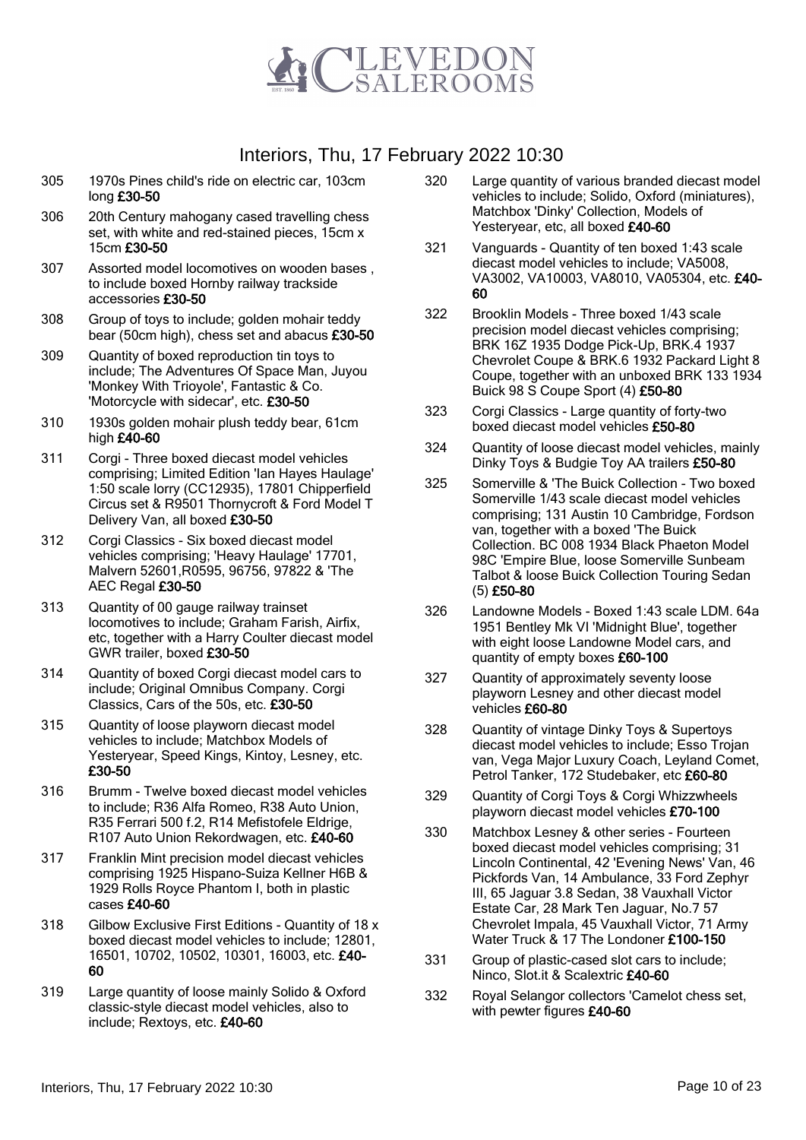

- 305 1970s Pines child's ride on electric car, 103cm long £30-50
- 306 20th Century mahogany cased travelling chess set, with white and red-stained pieces, 15cm x 15cm £30-50
- 307 Assorted model locomotives on wooden bases , to include boxed Hornby railway trackside accessories £30-50
- 308 Group of toys to include; golden mohair teddy bear (50cm high), chess set and abacus £30-50
- 309 Quantity of boxed reproduction tin toys to include; The Adventures Of Space Man, Juyou 'Monkey With Trioyole', Fantastic & Co. 'Motorcycle with sidecar', etc. £30-50
- 310 1930s golden mohair plush teddy bear, 61cm high £40-60
- 311 Corgi Three boxed diecast model vehicles comprising; Limited Edition 'Ian Hayes Haulage' 1:50 scale lorry (CC12935), 17801 Chipperfield Circus set & R9501 Thornycroft & Ford Model T Delivery Van, all boxed £30-50
- 312 Corgi Classics Six boxed diecast model vehicles comprising; 'Heavy Haulage' 17701, Malvern 52601,R0595, 96756, 97822 & 'The AEC Regal £30-50
- 313 Quantity of 00 gauge railway trainset locomotives to include; Graham Farish, Airfix, etc, together with a Harry Coulter diecast model GWR trailer, boxed £30-50
- 314 Quantity of boxed Corgi diecast model cars to include; Original Omnibus Company. Corgi Classics, Cars of the 50s, etc. £30-50
- 315 Quantity of loose playworn diecast model vehicles to include; Matchbox Models of Yesteryear, Speed Kings, Kintoy, Lesney, etc. £30-50
- 316 Brumm Twelve boxed diecast model vehicles to include; R36 Alfa Romeo, R38 Auto Union, R35 Ferrari 500 f.2, R14 Mefistofele Eldrige, R107 Auto Union Rekordwagen, etc. £40-60
- 317 Franklin Mint precision model diecast vehicles comprising 1925 Hispano-Suiza Kellner H6B & 1929 Rolls Royce Phantom I, both in plastic cases £40-60
- 318 Gilbow Exclusive First Editions Quantity of 18 x boxed diecast model vehicles to include; 12801, 16501, 10702, 10502, 10301, 16003, etc. £40- 60
- 319 Large quantity of loose mainly Solido & Oxford classic-style diecast model vehicles, also to include; Rextoys, etc. £40-60
- 320 Large quantity of various branded diecast model vehicles to include; Solido, Oxford (miniatures), Matchbox 'Dinky' Collection, Models of Yesteryear, etc, all boxed £40-60
- 321 Vanguards Quantity of ten boxed 1:43 scale diecast model vehicles to include; VA5008, VA3002, VA10003, VA8010, VA05304, etc. £40- 60
- 322 Brooklin Models Three boxed 1/43 scale precision model diecast vehicles comprising; BRK 16Z 1935 Dodge Pick-Up, BRK.4 1937 Chevrolet Coupe & BRK.6 1932 Packard Light 8 Coupe, together with an unboxed BRK 133 1934 Buick 98 S Coupe Sport (4) £50-80
- 323 Corgi Classics Large quantity of forty-two boxed diecast model vehicles £50-80
- 324 Quantity of loose diecast model vehicles, mainly Dinky Toys & Budgie Toy AA trailers £50-80
- 325 Somerville & 'The Buick Collection Two boxed Somerville 1/43 scale diecast model vehicles comprising; 131 Austin 10 Cambridge, Fordson van, together with a boxed 'The Buick Collection. BC 008 1934 Black Phaeton Model 98C 'Empire Blue, loose Somerville Sunbeam Talbot & loose Buick Collection Touring Sedan (5) £50-80
- 326 Landowne Models Boxed 1:43 scale LDM. 64a 1951 Bentley Mk VI 'Midnight Blue', together with eight loose Landowne Model cars, and quantity of empty boxes £60-100
- 327 Quantity of approximately seventy loose playworn Lesney and other diecast model vehicles £60-80
- 328 Quantity of vintage Dinky Toys & Supertoys diecast model vehicles to include; Esso Trojan van, Vega Major Luxury Coach, Leyland Comet, Petrol Tanker, 172 Studebaker, etc £60-80
- 329 Quantity of Corgi Toys & Corgi Whizzwheels playworn diecast model vehicles £70-100
- 330 Matchbox Lesney & other series Fourteen boxed diecast model vehicles comprising; 31 Lincoln Continental, 42 'Evening News' Van, 46 Pickfords Van, 14 Ambulance, 33 Ford Zephyr III, 65 Jaguar 3.8 Sedan, 38 Vauxhall Victor Estate Car, 28 Mark Ten Jaguar, No.7 57 Chevrolet Impala, 45 Vauxhall Victor, 71 Army Water Truck & 17 The Londoner £100-150
- 331 Group of plastic-cased slot cars to include; Ninco, Slot.it & Scalextric £40-60
- 332 Royal Selangor collectors 'Camelot chess set, with pewter figures £40-60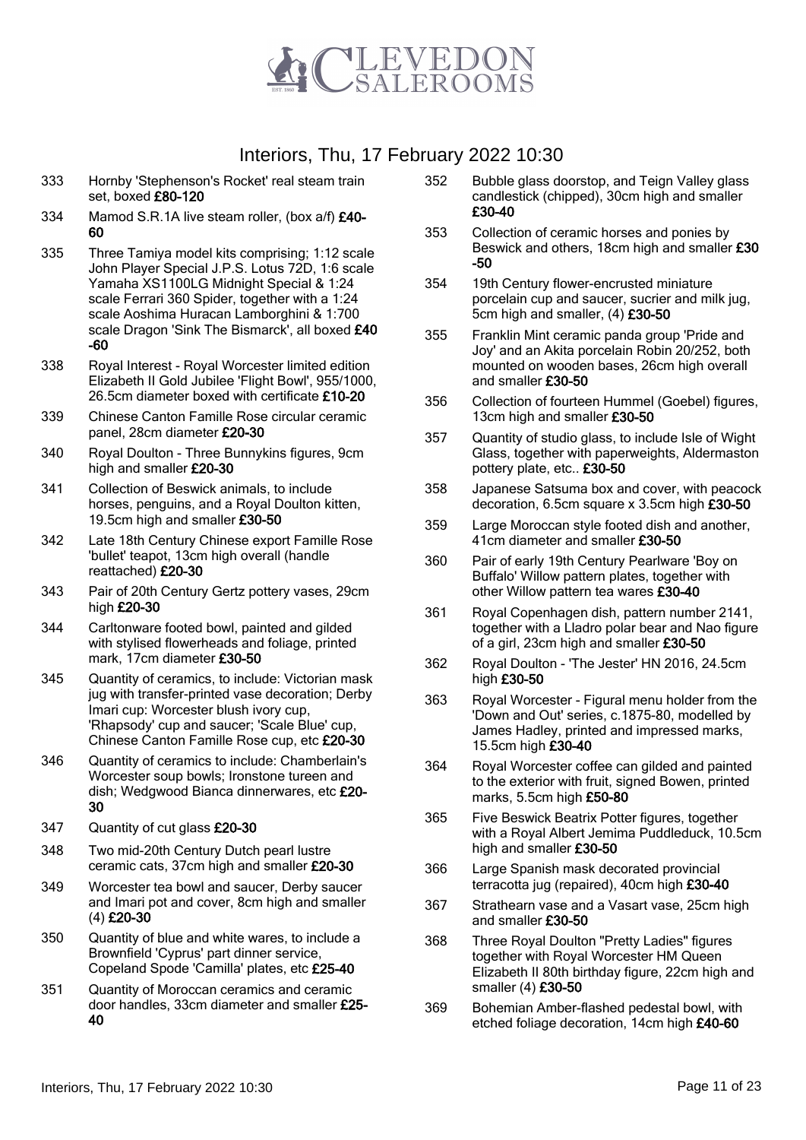

- 333 Hornby 'Stephenson's Rocket' real steam train set, boxed £80-120
- 334 Mamod S.R.1A live steam roller, (box a/f) £40-60
- 335 Three Tamiya model kits comprising; 1:12 scale John Player Special J.P.S. Lotus 72D, 1:6 scale Yamaha XS1100LG Midnight Special & 1:24 scale Ferrari 360 Spider, together with a 1:24 scale Aoshima Huracan Lamborghini & 1:700 scale Dragon 'Sink The Bismarck', all boxed £40 -60
- 338 Royal Interest Royal Worcester limited edition Elizabeth II Gold Jubilee 'Flight Bowl', 955/1000, 26.5cm diameter boxed with certificate £10-20
- 339 Chinese Canton Famille Rose circular ceramic panel, 28cm diameter £20-30
- 340 Royal Doulton Three Bunnykins figures, 9cm high and smaller £20-30
- 341 Collection of Beswick animals, to include horses, penguins, and a Royal Doulton kitten, 19.5cm high and smaller £30-50
- 342 Late 18th Century Chinese export Famille Rose 'bullet' teapot, 13cm high overall (handle reattached) £20-30
- 343 Pair of 20th Century Gertz pottery vases, 29cm high £20-30
- 344 Carltonware footed bowl, painted and gilded with stylised flowerheads and foliage, printed mark, 17cm diameter £30-50
- 345 Quantity of ceramics, to include: Victorian mask jug with transfer-printed vase decoration; Derby Imari cup: Worcester blush ivory cup, 'Rhapsody' cup and saucer; 'Scale Blue' cup, Chinese Canton Famille Rose cup, etc £20-30
- 346 Quantity of ceramics to include: Chamberlain's Worcester soup bowls; Ironstone tureen and dish; Wedgwood Bianca dinnerwares, etc £20-30
- 347 Quantity of cut glass £20-30
- 348 Two mid-20th Century Dutch pearl lustre ceramic cats, 37cm high and smaller £20-30
- 349 Worcester tea bowl and saucer, Derby saucer and Imari pot and cover, 8cm high and smaller (4) £20-30
- 350 Quantity of blue and white wares, to include a Brownfield 'Cyprus' part dinner service, Copeland Spode 'Camilla' plates, etc £25-40
- 351 Quantity of Moroccan ceramics and ceramic door handles, 33cm diameter and smaller £25- 40
- 352 Bubble glass doorstop, and Teign Valley glass candlestick (chipped), 30cm high and smaller £30-40
- 353 Collection of ceramic horses and ponies by Beswick and others, 18cm high and smaller £30 -50
- 354 19th Century flower-encrusted miniature porcelain cup and saucer, sucrier and milk jug, 5cm high and smaller, (4) £30-50
- 355 Franklin Mint ceramic panda group 'Pride and Joy' and an Akita porcelain Robin 20/252, both mounted on wooden bases, 26cm high overall and smaller £30-50
- 356 Collection of fourteen Hummel (Goebel) figures, 13cm high and smaller £30-50
- 357 Quantity of studio glass, to include Isle of Wight Glass, together with paperweights, Aldermaston pottery plate, etc.. £30-50
- 358 Japanese Satsuma box and cover, with peacock decoration, 6.5cm square x 3.5cm high £30-50
- 359 Large Moroccan style footed dish and another, 41cm diameter and smaller £30-50
- 360 Pair of early 19th Century Pearlware 'Boy on Buffalo' Willow pattern plates, together with other Willow pattern tea wares £30-40
- 361 Royal Copenhagen dish, pattern number 2141, together with a Lladro polar bear and Nao figure of a girl, 23cm high and smaller £30-50
- 362 Royal Doulton 'The Jester' HN 2016, 24.5cm high £30-50
- 363 Royal Worcester Figural menu holder from the 'Down and Out' series, c.1875-80, modelled by James Hadley, printed and impressed marks, 15.5cm high £30-40
- 364 Royal Worcester coffee can gilded and painted to the exterior with fruit, signed Bowen, printed marks, 5.5cm high £50-80
- 365 Five Beswick Beatrix Potter figures, together with a Royal Albert Jemima Puddleduck, 10.5cm high and smaller £30-50
- 366 Large Spanish mask decorated provincial terracotta jug (repaired), 40cm high £30-40
- 367 Strathearn vase and a Vasart vase, 25cm high and smaller £30-50
- 368 Three Royal Doulton "Pretty Ladies" figures together with Royal Worcester HM Queen Elizabeth II 80th birthday figure, 22cm high and smaller (4) £30-50
- 369 Bohemian Amber-flashed pedestal bowl, with etched foliage decoration, 14cm high £40-60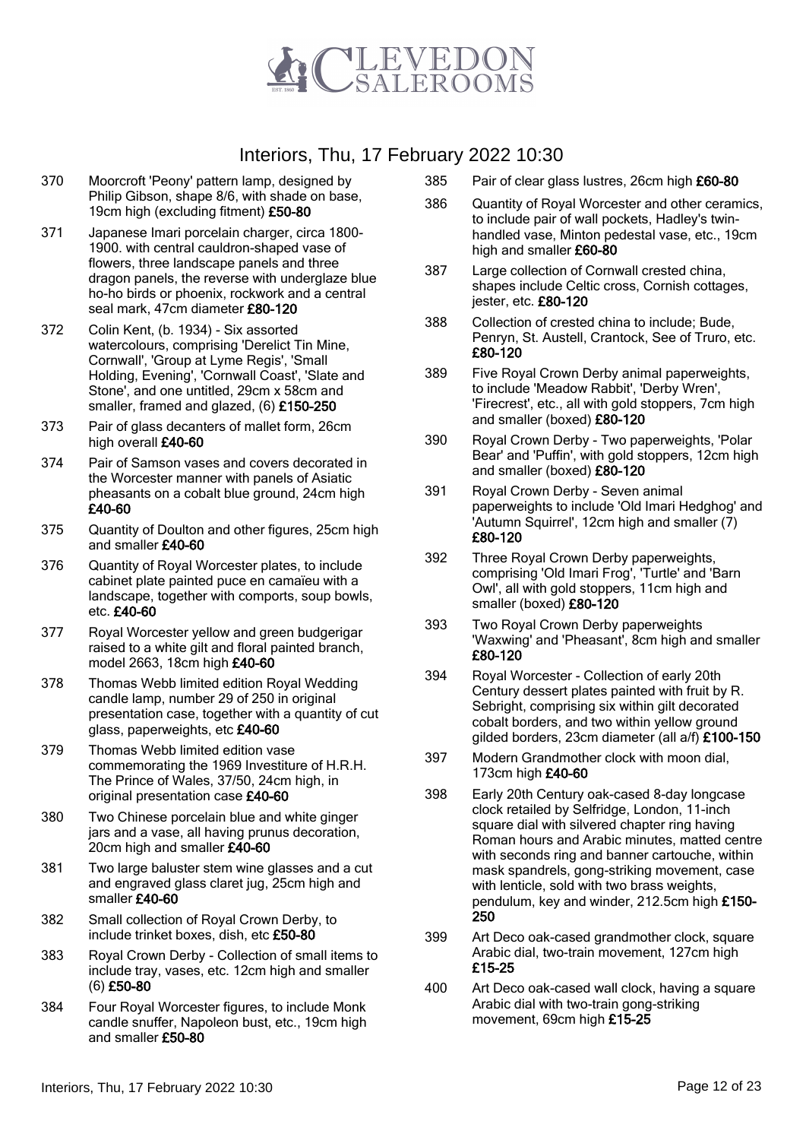

- 370 Moorcroft 'Peony' pattern lamp, designed by Philip Gibson, shape 8/6, with shade on base, 19cm high (excluding fitment) £50-80
- 371 Japanese Imari porcelain charger, circa 1800- 1900. with central cauldron-shaped vase of flowers, three landscape panels and three dragon panels, the reverse with underglaze blue ho-ho birds or phoenix, rockwork and a central seal mark, 47cm diameter £80-120
- 372 Colin Kent, (b. 1934) Six assorted watercolours, comprising 'Derelict Tin Mine, Cornwall', 'Group at Lyme Regis', 'Small Holding, Evening', 'Cornwall Coast', 'Slate and Stone', and one untitled, 29cm x 58cm and smaller, framed and glazed, (6) £150-250
- 373 Pair of glass decanters of mallet form, 26cm high overall £40-60
- 374 Pair of Samson vases and covers decorated in the Worcester manner with panels of Asiatic pheasants on a cobalt blue ground, 24cm high £40-60
- 375 Quantity of Doulton and other figures, 25cm high and smaller £40-60
- 376 Quantity of Royal Worcester plates, to include cabinet plate painted puce en camaïeu with a landscape, together with comports, soup bowls, etc. £40-60
- 377 Royal Worcester yellow and green budgerigar raised to a white gilt and floral painted branch, model 2663, 18cm high £40-60
- 378 Thomas Webb limited edition Royal Wedding candle lamp, number 29 of 250 in original presentation case, together with a quantity of cut glass, paperweights, etc £40-60
- 379 Thomas Webb limited edition vase commemorating the 1969 Investiture of H.R.H. The Prince of Wales, 37/50, 24cm high, in original presentation case £40-60
- 380 Two Chinese porcelain blue and white ginger jars and a vase, all having prunus decoration, 20cm high and smaller £40-60
- 381 Two large baluster stem wine glasses and a cut and engraved glass claret jug, 25cm high and smaller £40-60
- 382 Small collection of Royal Crown Derby, to include trinket boxes, dish, etc £50-80
- 383 Royal Crown Derby Collection of small items to include tray, vases, etc. 12cm high and smaller (6) £50-80
- 384 Four Royal Worcester figures, to include Monk candle snuffer, Napoleon bust, etc., 19cm high and smaller £50-80
- 385 Pair of clear glass lustres, 26cm high £60-80
- 386 Quantity of Royal Worcester and other ceramics, to include pair of wall pockets, Hadley's twinhandled vase, Minton pedestal vase, etc., 19cm high and smaller £60-80
- 387 Large collection of Cornwall crested china, shapes include Celtic cross, Cornish cottages, jester, etc. £80-120
- 388 Collection of crested china to include; Bude, Penryn, St. Austell, Crantock, See of Truro, etc. £80-120
- 389 Five Royal Crown Derby animal paperweights, to include 'Meadow Rabbit', 'Derby Wren', 'Firecrest', etc., all with gold stoppers, 7cm high and smaller (boxed) £80-120
- 390 Royal Crown Derby Two paperweights, 'Polar Bear' and 'Puffin', with gold stoppers, 12cm high and smaller (boxed) £80-120
- 391 Royal Crown Derby Seven animal paperweights to include 'Old Imari Hedghog' and 'Autumn Squirrel', 12cm high and smaller (7) £80-120
- 392 Three Royal Crown Derby paperweights, comprising 'Old Imari Frog', 'Turtle' and 'Barn Owl', all with gold stoppers, 11cm high and smaller (boxed) £80-120
- 393 Two Royal Crown Derby paperweights 'Waxwing' and 'Pheasant', 8cm high and smaller £80-120
- 394 Royal Worcester Collection of early 20th Century dessert plates painted with fruit by R. Sebright, comprising six within gilt decorated cobalt borders, and two within yellow ground gilded borders, 23cm diameter (all a/f) £100-150
- 397 Modern Grandmother clock with moon dial, 173cm high £40-60
- 398 Early 20th Century oak-cased 8-day longcase clock retailed by Selfridge, London, 11-inch square dial with silvered chapter ring having Roman hours and Arabic minutes, matted centre with seconds ring and banner cartouche, within mask spandrels, gong-striking movement, case with lenticle, sold with two brass weights. pendulum, key and winder, 212.5cm high £150- 250
- 399 Art Deco oak-cased grandmother clock, square Arabic dial, two-train movement, 127cm high £15-25
- 400 Art Deco oak-cased wall clock, having a square Arabic dial with two-train gong-striking movement, 69cm high £15-25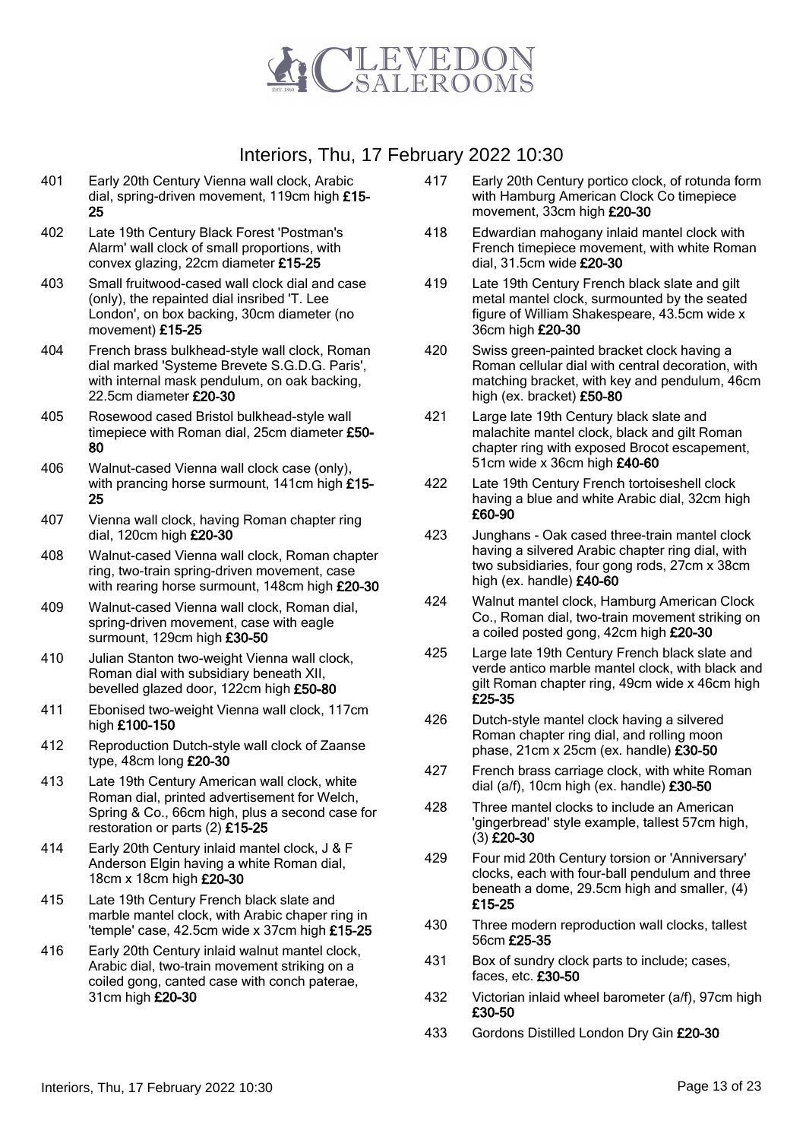

- 401 Early 20th Century Vienna wall clock, Arabic dial, spring-driven movement, 119cm high £15- 25
- 402 Late 19th Century Black Forest 'Postman's Alarm' wall clock of small proportions, with convex glazing, 22cm diameter £15-25
- 403 Small fruitwood-cased wall clock dial and case (only), the repainted dial insribed 'T. Lee London', on box backing, 30cm diameter (no movement) £15-25
- 404 French brass bulkhead-style wall clock, Roman dial marked 'Systeme Brevete S.G.D.G. Paris', with internal mask pendulum, on oak backing, 22.5cm diameter £20-30
- 405 Rosewood cased Bristol bulkhead-style wall timepiece with Roman dial, 25cm diameter £50-80
- 406 Walnut-cased Vienna wall clock case (only), with prancing horse surmount, 141cm high £15-25
- 407 Vienna wall clock, having Roman chapter ring dial, 120cm high £20-30
- 408 Walnut-cased Vienna wall clock, Roman chapter ring, two-train spring-driven movement, case with rearing horse surmount, 148cm high £20-30
- 409 Walnut-cased Vienna wall clock, Roman dial, spring-driven movement, case with eagle surmount, 129cm high £30-50
- 410 Julian Stanton two-weight Vienna wall clock, Roman dial with subsidiary beneath XII, bevelled glazed door, 122cm high £50-80
- 411 Ebonised two-weight Vienna wall clock, 117cm high £100-150
- 412 Reproduction Dutch-style wall clock of Zaanse type, 48cm long £20-30
- 413 Late 19th Century American wall clock, white Roman dial, printed advertisement for Welch, Spring & Co., 66cm high, plus a second case for restoration or parts (2) £15-25
- 414 Early 20th Century inlaid mantel clock, J & F Anderson Elgin having a white Roman dial, 18cm x 18cm high £20-30
- 415 Late 19th Century French black slate and marble mantel clock, with Arabic chaper ring in 'temple' case, 42.5cm wide x 37cm high £15-25
- 416 Early 20th Century inlaid walnut mantel clock, Arabic dial, two-train movement striking on a coiled gong, canted case with conch paterae, 31cm high £20-30
- 417 Early 20th Century portico clock, of rotunda form with Hamburg American Clock Co timepiece movement, 33cm high £20-30
- 418 Edwardian mahogany inlaid mantel clock with French timepiece movement, with white Roman dial, 31.5cm wide £20-30
- 419 Late 19th Century French black slate and gilt metal mantel clock, surmounted by the seated figure of William Shakespeare, 43.5cm wide x 36cm high £20-30
- 420 Swiss green-painted bracket clock having a Roman cellular dial with central decoration, with matching bracket, with key and pendulum, 46cm high (ex. bracket) £50-80
- 421 Large late 19th Century black slate and malachite mantel clock, black and gilt Roman chapter ring with exposed Brocot escapement, 51cm wide x 36cm high £40-60
- 422 Late 19th Century French tortoiseshell clock having a blue and white Arabic dial, 32cm high £60-90
- 423 Junghans Oak cased three-train mantel clock having a silvered Arabic chapter ring dial, with two subsidiaries, four gong rods, 27cm x 38cm high (ex. handle) £40-60
- 424 Walnut mantel clock, Hamburg American Clock Co., Roman dial, two-train movement striking on a coiled posted gong, 42cm high £20-30
- 425 Large late 19th Century French black slate and verde antico marble mantel clock, with black and gilt Roman chapter ring, 49cm wide x 46cm high £25-35
- 426 Dutch-style mantel clock having a silvered Roman chapter ring dial, and rolling moon phase, 21cm x 25cm (ex. handle) £30-50
- 427 French brass carriage clock, with white Roman dial (a/f), 10cm high (ex. handle)  $£30-50$
- 428 Three mantel clocks to include an American 'gingerbread' style example, tallest 57cm high, (3) £20-30
- 429 Four mid 20th Century torsion or 'Anniversary' clocks, each with four-ball pendulum and three beneath a dome, 29.5cm high and smaller, (4) £15-25
- 430 Three modern reproduction wall clocks, tallest 56cm £25-35
- 431 Box of sundry clock parts to include; cases, faces, etc. £30-50
- 432 Victorian inlaid wheel barometer (a/f), 97cm high £30-50
- 433 Gordons Distilled London Dry Gin £20-30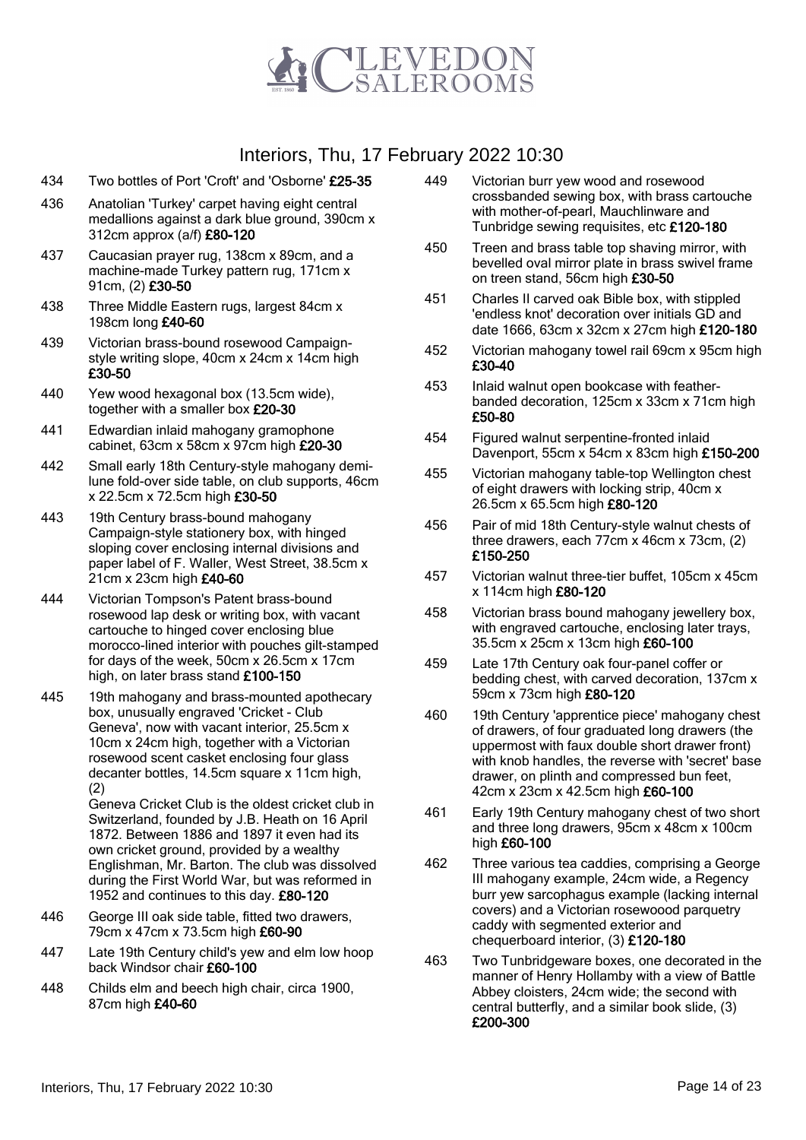

- 434 Two bottles of Port 'Croft' and 'Osborne' £25-35
- 436 Anatolian 'Turkey' carpet having eight central medallions against a dark blue ground, 390cm x 312cm approx (a/f) £80-120
- 437 Caucasian prayer rug, 138cm x 89cm, and a machine-made Turkey pattern rug, 171cm x 91cm, (2) £30-50
- 438 Three Middle Eastern rugs, largest 84cm x 198cm long £40-60
- 439 Victorian brass-bound rosewood Campaignstyle writing slope, 40cm x 24cm x 14cm high £30-50
- 440 Yew wood hexagonal box (13.5cm wide), together with a smaller box £20-30
- 441 Edwardian inlaid mahogany gramophone cabinet, 63cm x 58cm x 97cm high £20-30
- 442 Small early 18th Century-style mahogany demilune fold-over side table, on club supports, 46cm x 22.5cm x 72.5cm high £30-50
- 443 19th Century brass-bound mahogany Campaign-style stationery box, with hinged sloping cover enclosing internal divisions and paper label of F. Waller, West Street, 38.5cm x 21cm x 23cm high £40-60
- 444 Victorian Tompson's Patent brass-bound rosewood lap desk or writing box, with vacant cartouche to hinged cover enclosing blue morocco-lined interior with pouches gilt-stamped for days of the week, 50cm x 26.5cm x 17cm high, on later brass stand £100-150
- 445 19th mahogany and brass-mounted apothecary box, unusually engraved 'Cricket - Club Geneva', now with vacant interior, 25.5cm x 10cm x 24cm high, together with a Victorian rosewood scent casket enclosing four glass decanter bottles, 14.5cm square x 11cm high, (2)

Geneva Cricket Club is the oldest cricket club in Switzerland, founded by J.B. Heath on 16 April 1872. Between 1886 and 1897 it even had its own cricket ground, provided by a wealthy Englishman, Mr. Barton. The club was dissolved during the First World War, but was reformed in 1952 and continues to this day. £80-120

- 446 George III oak side table, fitted two drawers, 79cm x 47cm x 73.5cm high £60-90
- 447 Late 19th Century child's yew and elm low hoop back Windsor chair £60-100
- 448 Childs elm and beech high chair, circa 1900, 87cm high £40-60
- 449 Victorian burr yew wood and rosewood crossbanded sewing box, with brass cartouche with mother-of-pearl, Mauchlinware and Tunbridge sewing requisites, etc £120-180
- 450 Treen and brass table top shaving mirror, with bevelled oval mirror plate in brass swivel frame on treen stand, 56cm high £30-50
- 451 Charles II carved oak Bible box, with stippled 'endless knot' decoration over initials GD and date 1666, 63cm x 32cm x 27cm high £120-180
- 452 Victorian mahogany towel rail 69cm x 95cm high £30-40
- 453 Inlaid walnut open bookcase with featherbanded decoration, 125cm x 33cm x 71cm high £50-80
- 454 Figured walnut serpentine-fronted inlaid Davenport, 55cm x 54cm x 83cm high £150-200
- 455 Victorian mahogany table-top Wellington chest of eight drawers with locking strip, 40cm x 26.5cm x 65.5cm high £80-120
- 456 Pair of mid 18th Century-style walnut chests of three drawers, each  $77cm \times 46cm \times 73cm$ , (2) £150-250
- 457 Victorian walnut three-tier buffet, 105cm x 45cm x 114cm high £80-120
- 458 Victorian brass bound mahogany jewellery box, with engraved cartouche, enclosing later trays, 35.5cm x 25cm x 13cm high £60-100
- 459 Late 17th Century oak four-panel coffer or bedding chest, with carved decoration, 137cm x 59cm x 73cm high £80-120
- 460 19th Century 'apprentice piece' mahogany chest of drawers, of four graduated long drawers (the uppermost with faux double short drawer front) with knob handles, the reverse with 'secret' base drawer, on plinth and compressed bun feet, 42cm x 23cm x 42.5cm high £60-100
- 461 Early 19th Century mahogany chest of two short and three long drawers, 95cm x 48cm x 100cm high £60-100
- 462 Three various tea caddies, comprising a George III mahogany example, 24cm wide, a Regency burr yew sarcophagus example (lacking internal covers) and a Victorian rosewoood parquetry caddy with segmented exterior and chequerboard interior, (3) £120-180
- 463 Two Tunbridgeware boxes, one decorated in the manner of Henry Hollamby with a view of Battle Abbey cloisters, 24cm wide; the second with central butterfly, and a similar book slide, (3) £200-300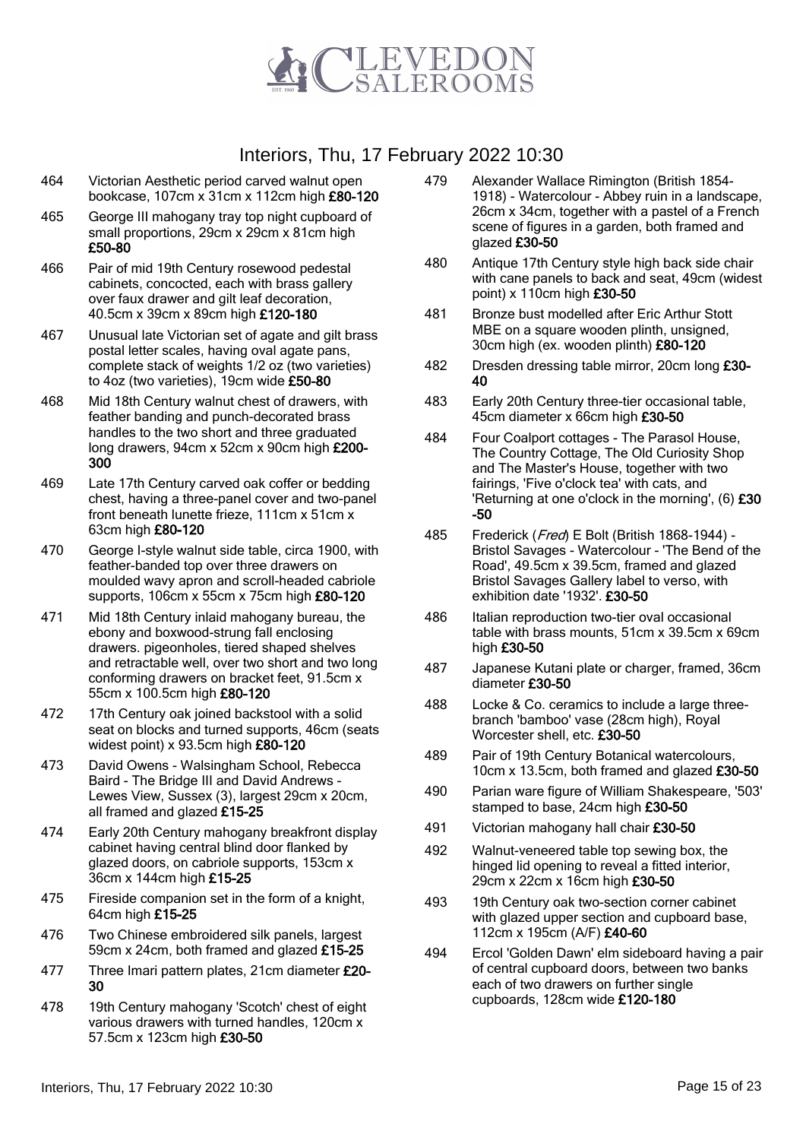

- 464 Victorian Aesthetic period carved walnut open bookcase, 107cm x 31cm x 112cm high £80-120
- 465 George III mahogany tray top night cupboard of small proportions, 29cm x 29cm x 81cm high £50-80
- 466 Pair of mid 19th Century rosewood pedestal cabinets, concocted, each with brass gallery over faux drawer and gilt leaf decoration, 40.5cm x 39cm x 89cm high £120-180
- 467 Unusual late Victorian set of agate and gilt brass postal letter scales, having oval agate pans, complete stack of weights 1/2 oz (two varieties) to 4oz (two varieties), 19cm wide £50-80
- 468 Mid 18th Century walnut chest of drawers, with feather banding and punch-decorated brass handles to the two short and three graduated long drawers, 94cm x 52cm x 90cm high £200- 300
- 469 Late 17th Century carved oak coffer or bedding chest, having a three-panel cover and two-panel front beneath lunette frieze, 111cm x 51cm x 63cm high £80-120
- 470 George I-style walnut side table, circa 1900, with feather-banded top over three drawers on moulded wavy apron and scroll-headed cabriole supports, 106cm x 55cm x 75cm high £80-120
- 471 Mid 18th Century inlaid mahogany bureau, the ebony and boxwood-strung fall enclosing drawers. pigeonholes, tiered shaped shelves and retractable well, over two short and two long conforming drawers on bracket feet, 91.5cm x 55cm x 100.5cm high £80-120
- 472 17th Century oak joined backstool with a solid seat on blocks and turned supports, 46cm (seats widest point) x 93.5cm high £80-120
- 473 David Owens Walsingham School, Rebecca Baird - The Bridge III and David Andrews - Lewes View, Sussex (3), largest 29cm x 20cm, all framed and glazed £15-25
- 474 Early 20th Century mahogany breakfront display cabinet having central blind door flanked by glazed doors, on cabriole supports, 153cm x 36cm x 144cm high £15-25
- 475 Fireside companion set in the form of a knight, 64cm high £15-25
- 476 Two Chinese embroidered silk panels, largest 59cm x 24cm, both framed and glazed £15-25
- 477 Three Imari pattern plates, 21cm diameter £20-30
- 478 19th Century mahogany 'Scotch' chest of eight various drawers with turned handles, 120cm x 57.5cm x 123cm high £30-50
- 479 Alexander Wallace Rimington (British 1854- 1918) - Watercolour - Abbey ruin in a landscape, 26cm x 34cm, together with a pastel of a French scene of figures in a garden, both framed and glazed £30-50
- 480 Antique 17th Century style high back side chair with cane panels to back and seat, 49cm (widest point) x 110cm high £30-50
- 481 Bronze bust modelled after Eric Arthur Stott MBE on a square wooden plinth, unsigned, 30cm high (ex. wooden plinth) £80-120
- 482 Dresden dressing table mirror, 20cm long £30-40
- 483 Early 20th Century three-tier occasional table, 45cm diameter x 66cm high £30-50
- 484 Four Coalport cottages The Parasol House, The Country Cottage, The Old Curiosity Shop and The Master's House, together with two fairings, 'Five o'clock tea' with cats, and 'Returning at one o'clock in the morning', (6) £30 -50
- 485 Frederick (*Fred*) E Bolt (British 1868-1944) -Bristol Savages - Watercolour - 'The Bend of the Road', 49.5cm x 39.5cm, framed and glazed Bristol Savages Gallery label to verso, with exhibition date '1932'. £30-50
- 486 Italian reproduction two-tier oval occasional table with brass mounts, 51cm x 39.5cm x 69cm high £30-50
- 487 Japanese Kutani plate or charger, framed, 36cm diameter £30-50
- 488 Locke & Co. ceramics to include a large threebranch 'bamboo' vase (28cm high), Royal Worcester shell, etc. £30-50
- 489 Pair of 19th Century Botanical watercolours, 10cm x 13.5cm, both framed and glazed £30-50
- 490 Parian ware figure of William Shakespeare, '503' stamped to base, 24cm high £30-50
- 491 Victorian mahogany hall chair £30-50
- 492 Walnut-veneered table top sewing box, the hinged lid opening to reveal a fitted interior, 29cm x 22cm x 16cm high £30-50
- 493 19th Century oak two-section corner cabinet with glazed upper section and cupboard base, 112cm x 195cm (A/F) £40-60
- 494 Ercol 'Golden Dawn' elm sideboard having a pair of central cupboard doors, between two banks each of two drawers on further single cupboards, 128cm wide £120-180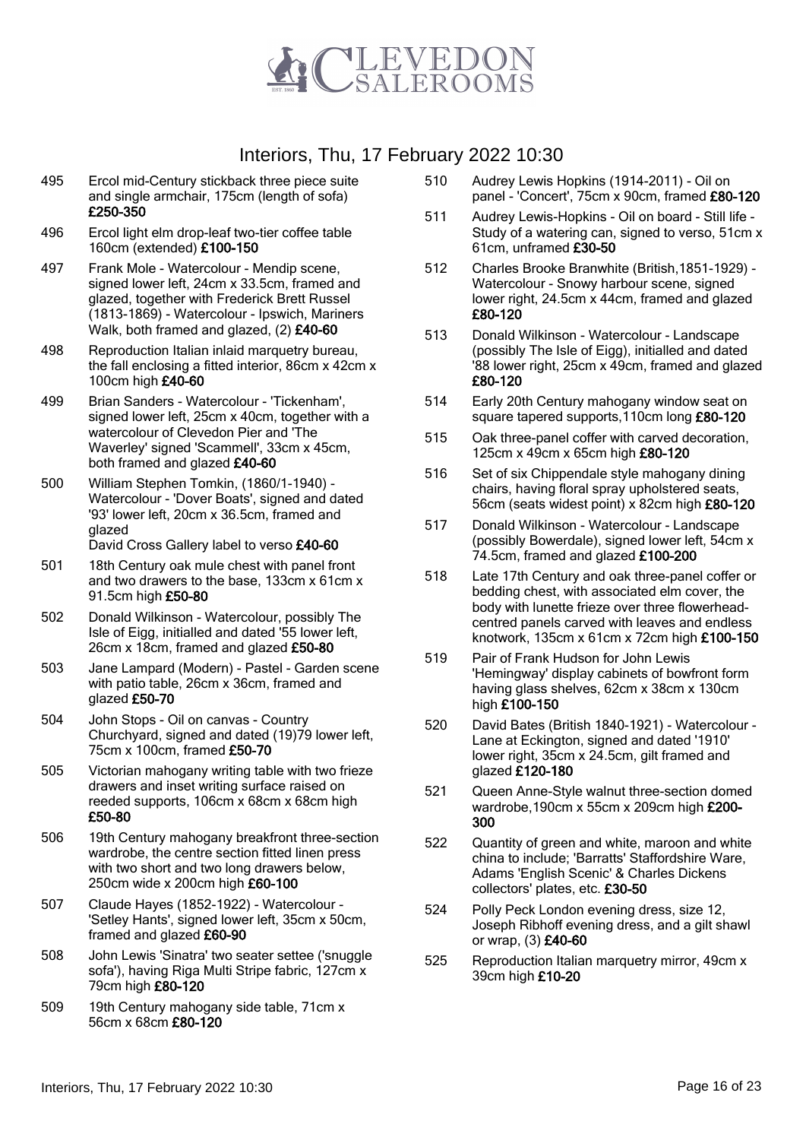

- 495 Ercol mid-Century stickback three piece suite and single armchair, 175cm (length of sofa) £250-350
- 496 Ercol light elm drop-leaf two-tier coffee table 160cm (extended) £100-150
- 497 Frank Mole Watercolour Mendip scene, signed lower left, 24cm x 33.5cm, framed and glazed, together with Frederick Brett Russel (1813-1869) - Watercolour - Ipswich, Mariners Walk, both framed and glazed, (2) £40-60
- 498 Reproduction Italian inlaid marquetry bureau, the fall enclosing a fitted interior, 86cm x 42cm x 100cm high £40-60
- 499 Brian Sanders Watercolour 'Tickenham', signed lower left, 25cm x 40cm, together with a watercolour of Clevedon Pier and 'The Waverley' signed 'Scammell', 33cm x 45cm, both framed and glazed £40-60
- 500 William Stephen Tomkin, (1860/1-1940) Watercolour - 'Dover Boats', signed and dated '93' lower left, 20cm x 36.5cm, framed and glazed David Cross Gallery label to verso £40-60
	-
- 501 18th Century oak mule chest with panel front and two drawers to the base, 133cm x 61cm x 91.5cm high £50-80
- 502 Donald Wilkinson Watercolour, possibly The Isle of Eigg, initialled and dated '55 lower left, 26cm x 18cm, framed and glazed £50-80
- 503 Jane Lampard (Modern) Pastel Garden scene with patio table, 26cm x 36cm, framed and glazed £50-70
- 504 John Stops Oil on canvas Country Churchyard, signed and dated (19)79 lower left, 75cm x 100cm, framed £50-70
- 505 Victorian mahogany writing table with two frieze drawers and inset writing surface raised on reeded supports, 106cm x 68cm x 68cm high £50-80
- 506 19th Century mahogany breakfront three-section wardrobe, the centre section fitted linen press with two short and two long drawers below, 250cm wide x 200cm high £60-100
- 507 Claude Hayes (1852-1922) Watercolour 'Setley Hants', signed lower left, 35cm x 50cm, framed and glazed £60-90
- 508 John Lewis 'Sinatra' two seater settee ('snuggle sofa'), having Riga Multi Stripe fabric, 127cm x 79cm high £80-120
- 509 19th Century mahogany side table, 71cm x 56cm x 68cm £80-120
- 510 Audrey Lewis Hopkins (1914-2011) Oil on panel - 'Concert', 75cm x 90cm, framed £80-120
- 511 Audrey Lewis-Hopkins Oil on board Still life Study of a watering can, signed to verso, 51cm x 61cm, unframed £30-50
- 512 Charles Brooke Branwhite (British,1851-1929) Watercolour - Snowy harbour scene, signed lower right, 24.5cm x 44cm, framed and glazed £80-120
- 513 Donald Wilkinson Watercolour Landscape (possibly The Isle of Eigg), initialled and dated '88 lower right, 25cm x 49cm, framed and glazed £80-120
- 514 Early 20th Century mahogany window seat on square tapered supports, 110cm long £80-120
- 515 Oak three-panel coffer with carved decoration, 125cm x 49cm x 65cm high £80-120
- 516 Set of six Chippendale style mahogany dining chairs, having floral spray upholstered seats, 56cm (seats widest point) x 82cm high £80-120
- 517 Donald Wilkinson Watercolour Landscape (possibly Bowerdale), signed lower left, 54cm x 74.5cm, framed and glazed £100-200
- 518 Late 17th Century and oak three-panel coffer or bedding chest, with associated elm cover, the body with lunette frieze over three flowerheadcentred panels carved with leaves and endless knotwork, 135cm x 61cm x 72cm high £100-150
- 519 Pair of Frank Hudson for John Lewis 'Hemingway' display cabinets of bowfront form having glass shelves, 62cm x 38cm x 130cm high £100-150
- 520 David Bates (British 1840-1921) Watercolour Lane at Eckington, signed and dated '1910' lower right, 35cm x 24.5cm, gilt framed and glazed £120-180
- 521 Queen Anne-Style walnut three-section domed wardrobe,190cm x 55cm x 209cm high £200- 300
- 522 Quantity of green and white, maroon and white china to include; 'Barratts' Staffordshire Ware, Adams 'English Scenic' & Charles Dickens collectors' plates, etc. £30-50
- 524 Polly Peck London evening dress, size 12, Joseph Ribhoff evening dress, and a gilt shawl or wrap, (3) £40-60
- 525 Reproduction Italian marquetry mirror, 49cm x 39cm high £10-20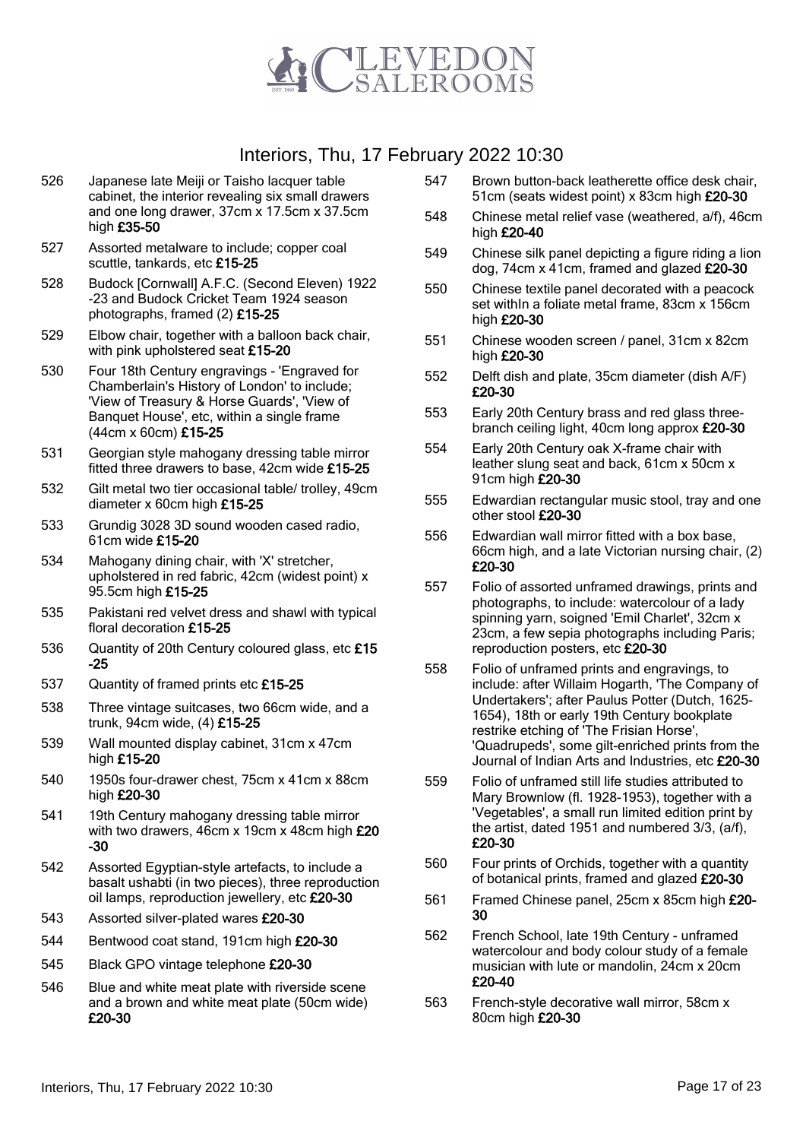

- 526 Japanese late Meiji or Taisho lacquer table cabinet, the interior revealing six small drawers and one long drawer, 37cm x 17.5cm x 37.5cm high £35-50
- 527 Assorted metalware to include; copper coal scuttle, tankards, etc £15-25
- 528 Budock [Cornwall] A.F.C. (Second Eleven) 1922 -23 and Budock Cricket Team 1924 season photographs, framed (2) £15-25
- 529 Elbow chair, together with a balloon back chair, with pink upholstered seat £15-20
- 530 Four 18th Century engravings 'Engraved for Chamberlain's History of London' to include; 'View of Treasury & Horse Guards', 'View of Banquet House', etc, within a single frame (44cm x 60cm) £15-25
- 531 Georgian style mahogany dressing table mirror fitted three drawers to base, 42cm wide £15-25
- 532 Gilt metal two tier occasional table/ trolley, 49cm diameter x 60cm high £15-25
- 533 Grundig 3028 3D sound wooden cased radio, 61cm wide £15-20
- 534 Mahogany dining chair, with 'X' stretcher, upholstered in red fabric, 42cm (widest point) x 95.5cm high £15-25
- 535 Pakistani red velvet dress and shawl with typical floral decoration £15-25
- 536 Quantity of 20th Century coloured glass, etc £15 -25
- 537 Quantity of framed prints etc £15-25
- 538 Three vintage suitcases, two 66cm wide, and a trunk, 94cm wide, (4) £15-25
- 539 Wall mounted display cabinet, 31cm x 47cm high £15-20
- 540 1950s four-drawer chest, 75cm x 41cm x 88cm high £20-30
- 541 19th Century mahogany dressing table mirror with two drawers, 46cm x 19cm x 48cm high £20 -30
- 542 Assorted Egyptian-style artefacts, to include a basalt ushabti (in two pieces), three reproduction oil lamps, reproduction jewellery, etc £20-30
- 543 Assorted silver-plated wares £20-30
- 544 Bentwood coat stand, 191cm high £20-30
- 545 Black GPO vintage telephone £20-30
- 546 Blue and white meat plate with riverside scene and a brown and white meat plate (50cm wide) £20-30
- 547 Brown button-back leatherette office desk chair, 51cm (seats widest point) x 83cm high £20-30
- 548 Chinese metal relief vase (weathered, a/f), 46cm high £20-40
- 549 Chinese silk panel depicting a figure riding a lion dog, 74cm x 41cm, framed and glazed £20-30
- 550 Chinese textile panel decorated with a peacock set withIn a foliate metal frame, 83cm x 156cm high £20-30
- 551 Chinese wooden screen / panel, 31cm x 82cm high £20-30
- 552 Delft dish and plate, 35cm diameter (dish A/F) £20-30
- 553 Early 20th Century brass and red glass threebranch ceiling light, 40cm long approx £20-30
- 554 Early 20th Century oak X-frame chair with leather slung seat and back, 61cm x 50cm x 91cm high £20-30
- 555 Edwardian rectangular music stool, tray and one other stool £20-30
- 556 Edwardian wall mirror fitted with a box base, 66cm high, and a late Victorian nursing chair, (2) £20-30
- 557 Folio of assorted unframed drawings, prints and photographs, to include: watercolour of a lady spinning yarn, soigned 'Emil Charlet', 32cm x 23cm, a few sepia photographs including Paris; reproduction posters, etc £20-30
- 558 Folio of unframed prints and engravings, to include: after Willaim Hogarth, 'The Company of Undertakers'; after Paulus Potter (Dutch, 1625- 1654), 18th or early 19th Century bookplate restrike etching of 'The Frisian Horse', 'Quadrupeds', some gilt-enriched prints from the Journal of Indian Arts and Industries, etc £20-30
- 559 Folio of unframed still life studies attributed to Mary Brownlow (fl. 1928-1953), together with a 'Vegetables', a small run limited edition print by the artist, dated 1951 and numbered 3/3, (a/f), £20-30
- 560 Four prints of Orchids, together with a quantity of botanical prints, framed and glazed £20-30
- 561 Framed Chinese panel, 25cm x 85cm high £20- 30
- 562 French School, late 19th Century unframed watercolour and body colour study of a female musician with lute or mandolin, 24cm x 20cm £20-40
- 563 French-style decorative wall mirror, 58cm x 80cm high £20-30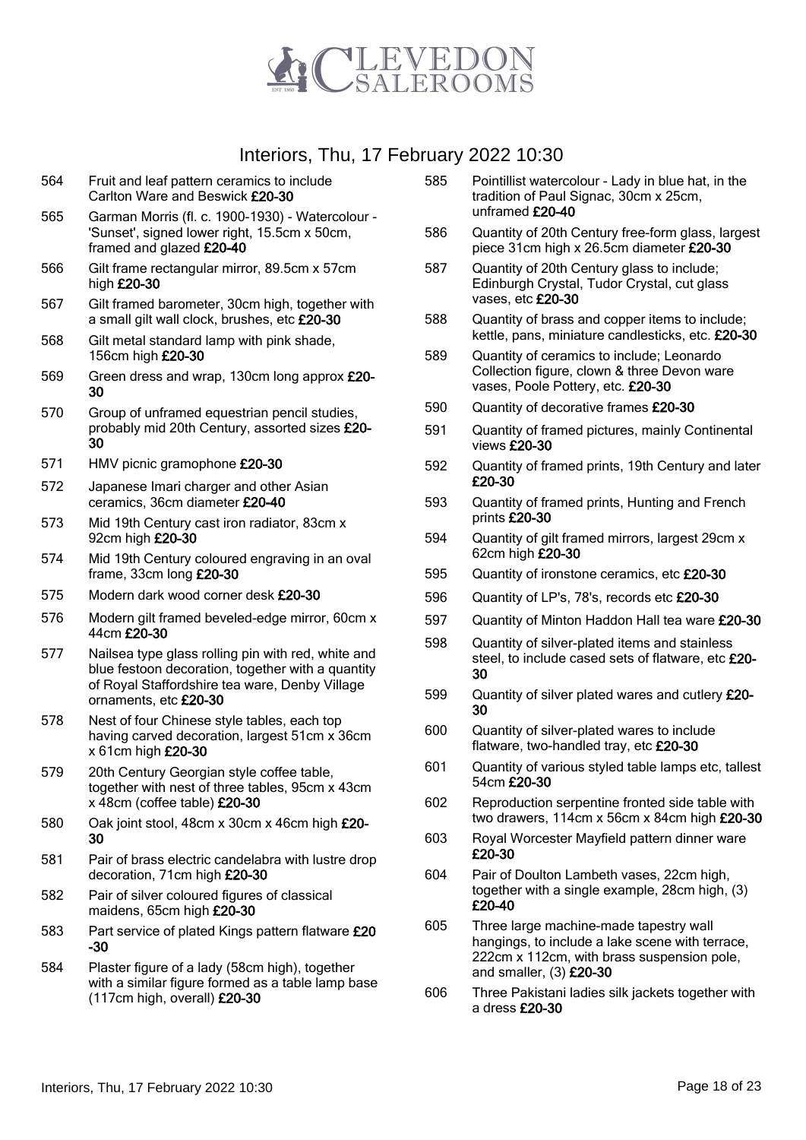

- 564 Fruit and leaf pattern ceramics to include Carlton Ware and Beswick £20-30
- 565 Garman Morris (fl. c. 1900-1930) Watercolour 'Sunset', signed lower right, 15.5cm x 50cm, framed and glazed £20-40
- 566 Gilt frame rectangular mirror, 89.5cm x 57cm high £20-30
- 567 Gilt framed barometer, 30cm high, together with a small gilt wall clock, brushes, etc £20-30
- 568 Gilt metal standard lamp with pink shade, 156cm high £20-30
- 569 Green dress and wrap, 130cm long approx £20-30
- 570 Group of unframed equestrian pencil studies, probably mid 20th Century, assorted sizes £20- 30
- 571 HMV picnic gramophone £20-30
- 572 Japanese Imari charger and other Asian ceramics, 36cm diameter £20-40
- 573 Mid 19th Century cast iron radiator, 83cm x 92cm high £20-30
- 574 Mid 19th Century coloured engraving in an oval frame, 33cm long £20-30
- 575 Modern dark wood corner desk £20-30
- 576 Modern gilt framed beveled-edge mirror, 60cm x 44cm £20-30
- 577 Nailsea type glass rolling pin with red, white and blue festoon decoration, together with a quantity of Royal Staffordshire tea ware, Denby Village ornaments, etc £20-30
- 578 Nest of four Chinese style tables, each top having carved decoration, largest 51cm x 36cm x 61cm high £20-30
- 579 20th Century Georgian style coffee table, together with nest of three tables, 95cm x 43cm x 48cm (coffee table) £20-30
- 580 Oak joint stool, 48cm x 30cm x 46cm high £20- 30
- 581 Pair of brass electric candelabra with lustre drop decoration, 71cm high £20-30
- 582 Pair of silver coloured figures of classical maidens, 65cm high £20-30
- 583 Part service of plated Kings pattern flatware £20 -30
- 584 Plaster figure of a lady (58cm high), together with a similar figure formed as a table lamp base (117cm high, overall) £20-30
- 585 Pointillist watercolour Lady in blue hat, in the tradition of Paul Signac, 30cm x 25cm, unframed £20-40
- 586 Quantity of 20th Century free-form glass, largest piece 31cm high x 26.5cm diameter £20-30
- 587 Quantity of 20th Century glass to include; Edinburgh Crystal, Tudor Crystal, cut glass vases, etc £20-30
- 588 Quantity of brass and copper items to include; kettle, pans, miniature candlesticks, etc. £20-30
- 589 Quantity of ceramics to include; Leonardo Collection figure, clown & three Devon ware vases, Poole Pottery, etc. £20-30
- 590 Quantity of decorative frames £20-30
- 591 Quantity of framed pictures, mainly Continental views £20-30
- 592 Quantity of framed prints, 19th Century and later £20-30
- 593 Quantity of framed prints, Hunting and French prints £20-30
- 594 Quantity of gilt framed mirrors, largest 29cm x 62cm high £20-30
- 595 Quantity of ironstone ceramics, etc £20-30
- 596 Quantity of LP's, 78's, records etc £20-30
- 597 Quantity of Minton Haddon Hall tea ware £20-30
- 598 Quantity of silver-plated items and stainless steel, to include cased sets of flatware, etc £20-30
- 599 Quantity of silver plated wares and cutlery £20- 30
- 600 Quantity of silver-plated wares to include flatware, two-handled tray, etc £20-30
- 601 Quantity of various styled table lamps etc, tallest 54cm £20-30
- 602 Reproduction serpentine fronted side table with two drawers, 114cm x 56cm x 84cm high £20-30
- 603 Royal Worcester Mayfield pattern dinner ware £20-30
- 604 Pair of Doulton Lambeth vases, 22cm high, together with a single example, 28cm high, (3) £20-40
- 605 Three large machine-made tapestry wall hangings, to include a lake scene with terrace, 222cm x 112cm, with brass suspension pole, and smaller, (3) £20-30
- 606 Three Pakistani ladies silk jackets together with a dress £20-30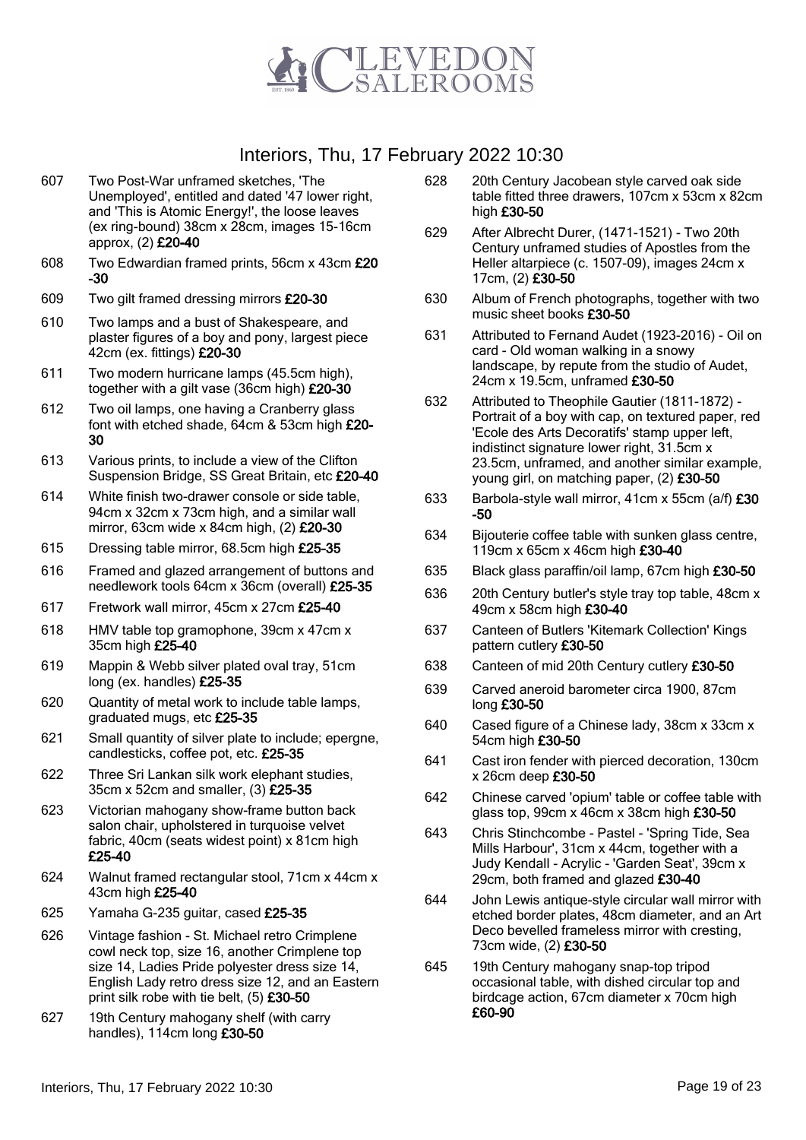

- 607 Two Post-War unframed sketches, 'The Unemployed', entitled and dated '47 lower right, and 'This is Atomic Energy!', the loose leaves (ex ring-bound) 38cm x 28cm, images 15-16cm approx, (2) £20-40
- 608 Two Edwardian framed prints, 56cm x 43cm £20 -30
- 609 Two gilt framed dressing mirrors £20-30
- 610 Two lamps and a bust of Shakespeare, and plaster figures of a boy and pony, largest piece 42cm (ex. fittings) £20-30
- 611 Two modern hurricane lamps (45.5cm high), together with a gilt vase (36cm high) £20-30
- 612 Two oil lamps, one having a Cranberry glass font with etched shade, 64cm & 53cm high £20- 30
- 613 Various prints, to include a view of the Clifton Suspension Bridge, SS Great Britain, etc £20-40
- 614 White finish two-drawer console or side table, 94cm x 32cm x 73cm high, and a similar wall mirror, 63cm wide x 84cm high, (2) £20-30
- 615 Dressing table mirror, 68.5cm high £25-35
- 616 Framed and glazed arrangement of buttons and needlework tools 64cm x 36cm (overall) £25-35
- 617 Fretwork wall mirror, 45cm x 27cm £25-40
- 618 HMV table top gramophone, 39cm x 47cm x 35cm high £25-40
- 619 Mappin & Webb silver plated oval tray, 51cm long (ex. handles) £25-35
- 620 Quantity of metal work to include table lamps, graduated mugs, etc £25-35
- 621 Small quantity of silver plate to include; epergne, candlesticks, coffee pot, etc. £25-35
- 622 Three Sri Lankan silk work elephant studies, 35cm x 52cm and smaller, (3) £25-35
- 623 Victorian mahogany show-frame button back salon chair, upholstered in turquoise velvet fabric, 40cm (seats widest point) x 81cm high £25-40
- 624 Walnut framed rectangular stool, 71cm x 44cm x 43cm high £25-40
- 625 Yamaha G-235 guitar, cased £25-35
- 626 Vintage fashion St. Michael retro Crimplene cowl neck top, size 16, another Crimplene top size 14, Ladies Pride polyester dress size 14, English Lady retro dress size 12, and an Eastern print silk robe with tie belt, (5) £30-50
- 627 19th Century mahogany shelf (with carry handles), 114cm long £30-50
- 628 20th Century Jacobean style carved oak side table fitted three drawers, 107cm x 53cm x 82cm high £30-50
- 629 After Albrecht Durer, (1471-1521) Two 20th Century unframed studies of Apostles from the Heller altarpiece (c. 1507-09), images 24cm x 17cm, (2) £30-50
- 630 Album of French photographs, together with two music sheet books £30-50
- 631 Attributed to Fernand Audet (1923-2016) Oil on card - Old woman walking in a snowy landscape, by repute from the studio of Audet, 24cm x 19.5cm, unframed £30-50
- 632 Attributed to Theophile Gautier (1811-1872) Portrait of a boy with cap, on textured paper, red 'Ecole des Arts Decoratifs' stamp upper left, indistinct signature lower right, 31.5cm x 23.5cm, unframed, and another similar example, young girl, on matching paper, (2) £30-50
- 633 Barbola-style wall mirror, 41cm x 55cm (a/f) £30 -50
- 634 Bijouterie coffee table with sunken glass centre, 119cm x 65cm x 46cm high £30-40
- 635 Black glass paraffin/oil lamp, 67cm high £30-50
- 636 20th Century butler's style tray top table, 48cm x 49cm x 58cm high £30-40
- 637 Canteen of Butlers 'Kitemark Collection' Kings pattern cutlery £30-50
- 638 Canteen of mid 20th Century cutlery £30-50
- 639 Carved aneroid barometer circa 1900, 87cm long £30-50
- 640 Cased figure of a Chinese lady, 38cm x 33cm x 54cm high £30-50
- 641 Cast iron fender with pierced decoration, 130cm x 26cm deep £30-50
- 642 Chinese carved 'opium' table or coffee table with glass top,  $99cm \times 46cm \times 38cm$  high  $£30-50$
- 643 Chris Stinchcombe Pastel 'Spring Tide, Sea Mills Harbour', 31cm x 44cm, together with a Judy Kendall - Acrylic - 'Garden Seat', 39cm x 29cm, both framed and glazed £30-40
- 644 John Lewis antique-style circular wall mirror with etched border plates, 48cm diameter, and an Art Deco bevelled frameless mirror with cresting, 73cm wide, (2) £30-50
- 645 19th Century mahogany snap-top tripod occasional table, with dished circular top and birdcage action, 67cm diameter x 70cm high £60-90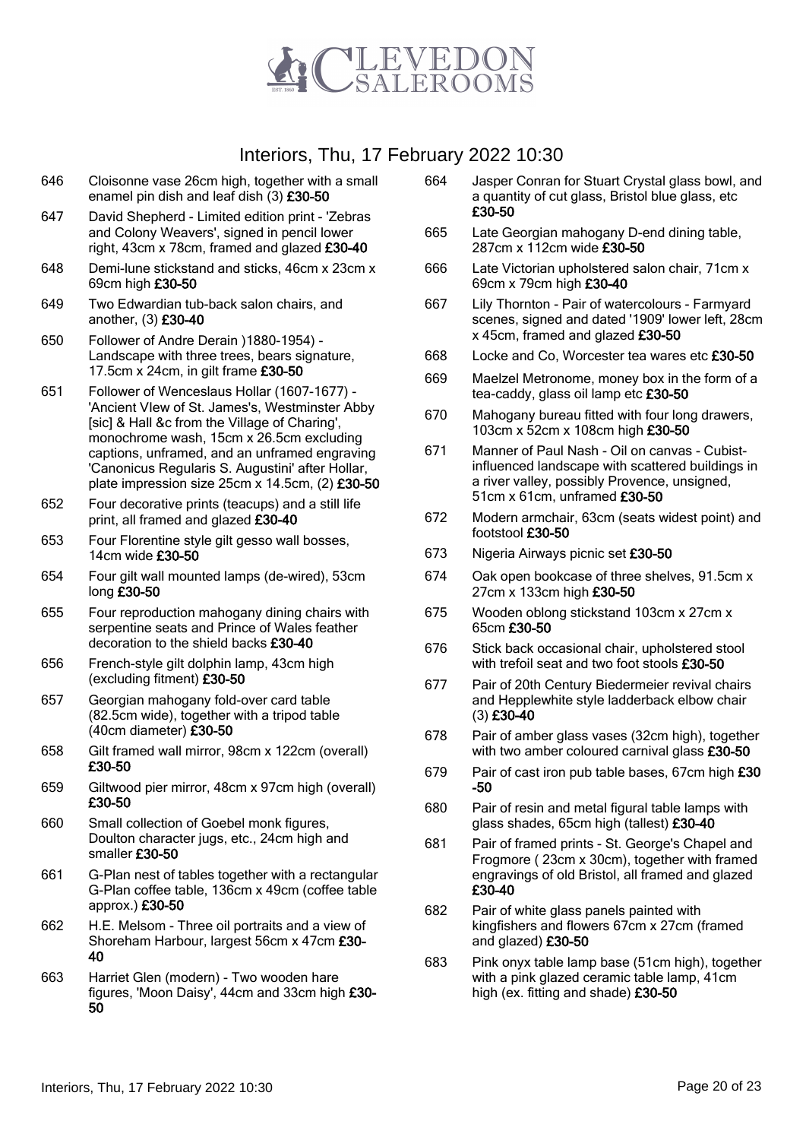

- 646 Cloisonne vase 26cm high, together with a small enamel pin dish and leaf dish (3) £30-50
- 647 David Shepherd Limited edition print 'Zebras and Colony Weavers', signed in pencil lower right, 43cm x 78cm, framed and glazed £30-40
- 648 Demi-lune stickstand and sticks, 46cm x 23cm x 69cm high £30-50
- 649 Two Edwardian tub-back salon chairs, and another, (3) £30-40
- 650 Follower of Andre Derain )1880-1954) Landscape with three trees, bears signature, 17.5cm x 24cm, in gilt frame £30-50
- 651 Follower of Wenceslaus Hollar (1607-1677) 'Ancient VIew of St. James's, Westminster Abby [sic] & Hall &c from the Village of Charing', monochrome wash, 15cm x 26.5cm excluding captions, unframed, and an unframed engraving 'Canonicus Regularis S. Augustini' after Hollar, plate impression size 25cm x 14.5cm, (2) £30-50
- 652 Four decorative prints (teacups) and a still life print, all framed and glazed £30-40
- 653 Four Florentine style gilt gesso wall bosses, 14cm wide £30-50
- 654 Four gilt wall mounted lamps (de-wired), 53cm long £30-50
- 655 Four reproduction mahogany dining chairs with serpentine seats and Prince of Wales feather decoration to the shield backs £30-40
- 656 French-style gilt dolphin lamp, 43cm high (excluding fitment) £30-50
- 657 Georgian mahogany fold-over card table (82.5cm wide), together with a tripod table (40cm diameter) £30-50
- 658 Gilt framed wall mirror, 98cm x 122cm (overall) £30-50
- 659 Giltwood pier mirror, 48cm x 97cm high (overall) £30-50
- 660 Small collection of Goebel monk figures, Doulton character jugs, etc., 24cm high and smaller £30-50
- 661 G-Plan nest of tables together with a rectangular G-Plan coffee table, 136cm x 49cm (coffee table approx.) £30-50
- 662 H.E. Melsom Three oil portraits and a view of Shoreham Harbour, largest 56cm x 47cm £30- 40
- 663 Harriet Glen (modern) Two wooden hare figures, 'Moon Daisy', 44cm and 33cm high £30- 50
- 664 Jasper Conran for Stuart Crystal glass bowl, and a quantity of cut glass, Bristol blue glass, etc £30-50
- 665 Late Georgian mahogany D-end dining table, 287cm x 112cm wide £30-50
- 666 Late Victorian upholstered salon chair, 71cm x 69cm x 79cm high £30-40
- 667 Lily Thornton Pair of watercolours Farmyard scenes, signed and dated '1909' lower left, 28cm x 45cm, framed and glazed £30-50
- 668 Locke and Co, Worcester tea wares etc £30-50
- 669 Maelzel Metronome, money box in the form of a tea-caddy, glass oil lamp etc £30-50
- 670 Mahogany bureau fitted with four long drawers, 103cm x 52cm x 108cm high £30-50
- 671 Manner of Paul Nash Oil on canvas Cubistinfluenced landscape with scattered buildings in a river valley, possibly Provence, unsigned, 51cm x 61cm, unframed £30-50
- 672 Modern armchair, 63cm (seats widest point) and footstool £30-50
- 673 Nigeria Airways picnic set £30-50
- 674 Oak open bookcase of three shelves, 91.5cm x 27cm x 133cm high £30-50
- 675 Wooden oblong stickstand 103cm x 27cm x 65cm £30-50
- 676 Stick back occasional chair, upholstered stool with trefoil seat and two foot stools £30-50
- 677 Pair of 20th Century Biedermeier revival chairs and Hepplewhite style ladderback elbow chair (3) £30-40
- 678 Pair of amber glass vases (32cm high), together with two amber coloured carnival glass £30-50
- 679 Pair of cast iron pub table bases, 67cm high £30 -50
- 680 Pair of resin and metal figural table lamps with glass shades, 65cm high (tallest) £30-40
- 681 Pair of framed prints St. George's Chapel and Frogmore ( 23cm x 30cm), together with framed engravings of old Bristol, all framed and glazed £30-40
- 682 Pair of white glass panels painted with kingfishers and flowers 67cm x 27cm (framed and glazed) £30-50
- 683 Pink onyx table lamp base (51cm high), together with a pink glazed ceramic table lamp, 41cm high (ex. fitting and shade) £30-50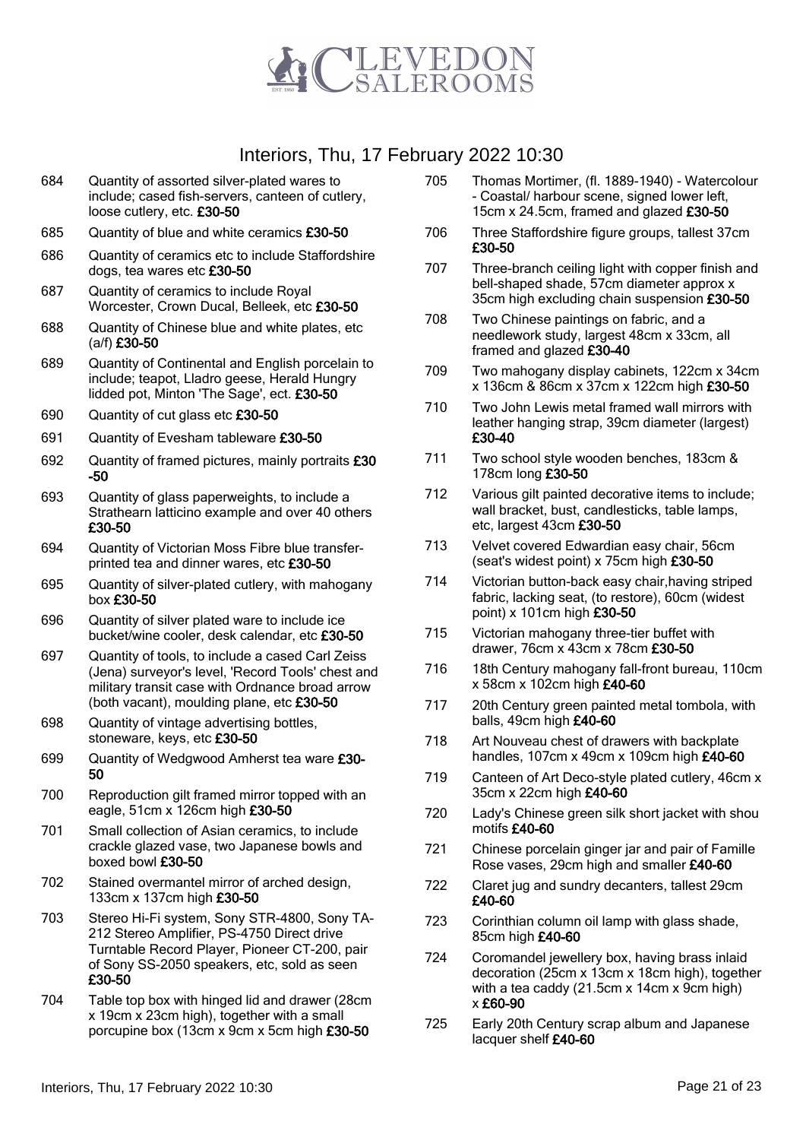

- 684 Quantity of assorted silver-plated wares to include; cased fish-servers, canteen of cutlery, loose cutlery, etc. £30-50
- 685 Quantity of blue and white ceramics £30-50
- 686 Quantity of ceramics etc to include Staffordshire dogs, tea wares etc £30-50
- 687 Quantity of ceramics to include Royal Worcester, Crown Ducal, Belleek, etc £30-50
- 688 Quantity of Chinese blue and white plates, etc (a/f) £30-50
- 689 Quantity of Continental and English porcelain to include; teapot, Lladro geese, Herald Hungry lidded pot, Minton 'The Sage', ect. £30-50
- 690 Quantity of cut glass etc £30-50
- 691 Quantity of Evesham tableware £30-50
- 692 Quantity of framed pictures, mainly portraits £30 -50
- 693 Quantity of glass paperweights, to include a Strathearn latticino example and over 40 others £30-50
- 694 Quantity of Victorian Moss Fibre blue transferprinted tea and dinner wares, etc £30-50
- 695 Quantity of silver-plated cutlery, with mahogany box £30-50
- 696 Quantity of silver plated ware to include ice bucket/wine cooler, desk calendar, etc £30-50
- 697 Quantity of tools, to include a cased Carl Zeiss (Jena) surveyor's level, 'Record Tools' chest and military transit case with Ordnance broad arrow (both vacant), moulding plane, etc £30-50
- 698 Quantity of vintage advertising bottles, stoneware, keys, etc £30-50
- 699 Quantity of Wedgwood Amherst tea ware £30- 50
- 700 Reproduction gilt framed mirror topped with an eagle, 51cm x 126cm high £30-50
- 701 Small collection of Asian ceramics, to include crackle glazed vase, two Japanese bowls and boxed bowl £30-50
- 702 Stained overmantel mirror of arched design, 133cm x 137cm high £30-50
- 703 Stereo Hi-Fi system, Sony STR-4800, Sony TA-212 Stereo Amplifier, PS-4750 Direct drive Turntable Record Player, Pioneer CT-200, pair of Sony SS-2050 speakers, etc, sold as seen £30-50
- 704 Table top box with hinged lid and drawer (28cm x 19cm x 23cm high), together with a small porcupine box (13cm x 9cm x 5cm high  $£30-50$
- 705 Thomas Mortimer, (fl. 1889-1940) Watercolour - Coastal/ harbour scene, signed lower left, 15cm x 24.5cm, framed and glazed £30-50
- 706 Three Staffordshire figure groups, tallest 37cm £30-50
- 707 Three-branch ceiling light with copper finish and bell-shaped shade, 57cm diameter approx x 35cm high excluding chain suspension £30-50
- 708 Two Chinese paintings on fabric, and a needlework study, largest 48cm x 33cm, all framed and glazed £30-40
- 709 Two mahogany display cabinets, 122cm x 34cm x 136cm & 86cm x 37cm x 122cm high £30-50
- 710 Two John Lewis metal framed wall mirrors with leather hanging strap, 39cm diameter (largest) £30-40
- 711 Two school style wooden benches, 183cm & 178cm long £30-50
- 712 Various gilt painted decorative items to include; wall bracket, bust, candlesticks, table lamps. etc, largest 43cm £30-50
- 713 Velvet covered Edwardian easy chair, 56cm (seat's widest point) x 75cm high £30-50
- 714 Victorian button-back easy chair,having striped fabric, lacking seat, (to restore), 60cm (widest point) x 101cm high £30-50
- 715 Victorian mahogany three-tier buffet with drawer, 76cm x 43cm x 78cm £30-50
- 716 18th Century mahogany fall-front bureau, 110cm x 58cm x 102cm high £40-60
- 717 20th Century green painted metal tombola, with balls, 49cm high £40-60
- 718 Art Nouveau chest of drawers with backplate handles, 107cm x 49cm x 109cm high £40-60
- 719 Canteen of Art Deco-style plated cutlery, 46cm x 35cm x 22cm high £40-60
- 720 Lady's Chinese green silk short jacket with shou motifs £40-60
- 721 Chinese porcelain ginger jar and pair of Famille Rose vases, 29cm high and smaller £40-60
- 722 Claret jug and sundry decanters, tallest 29cm £40-60
- 723 Corinthian column oil lamp with glass shade, 85cm high £40-60
- 724 Coromandel jewellery box, having brass inlaid decoration (25cm x 13cm x 18cm high), together with a tea caddy (21.5cm x 14cm x 9cm high) x £60-90
- 725 Early 20th Century scrap album and Japanese lacquer shelf £40-60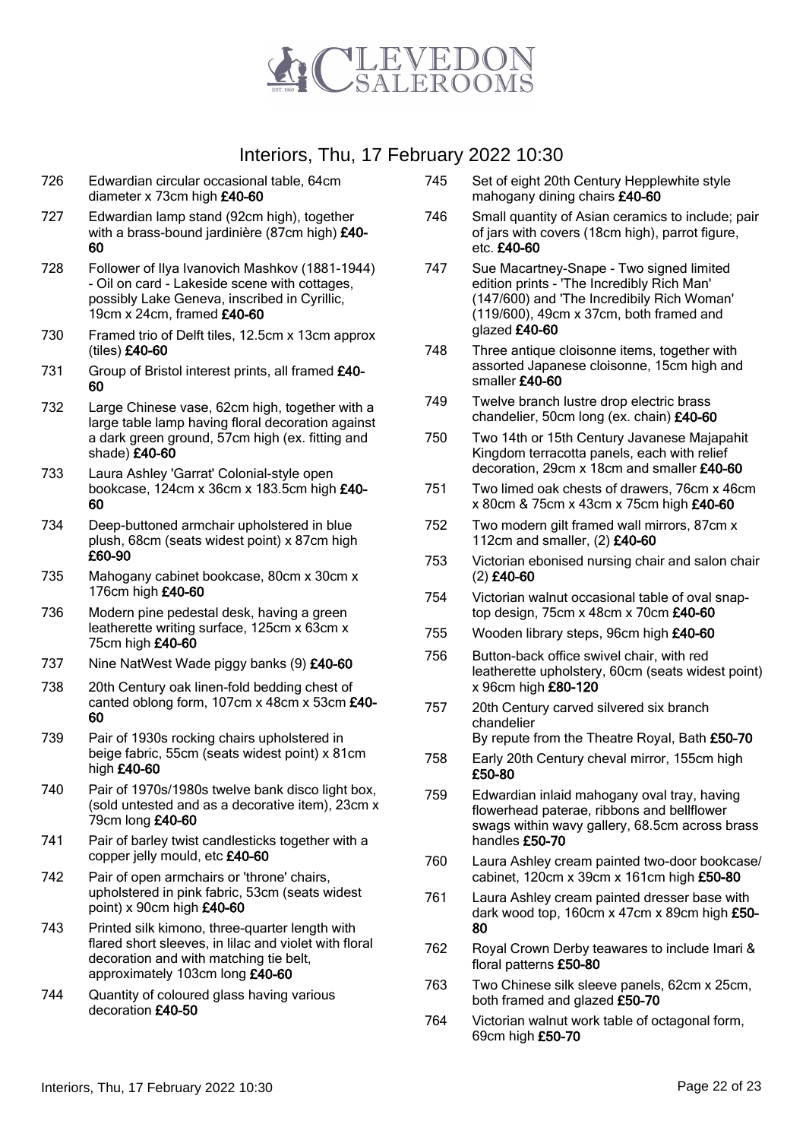

- 726 Edwardian circular occasional table, 64cm diameter x 73cm high £40-60
- 727 Edwardian lamp stand (92cm high), together with a brass-bound jardinière (87cm high) £40-60
- 728 Follower of Ilya Ivanovich Mashkov (1881-1944) - Oil on card - Lakeside scene with cottages, possibly Lake Geneva, inscribed in Cyrillic, 19cm x 24cm, framed £40-60
- 730 Framed trio of Delft tiles, 12.5cm x 13cm approx (tiles) £40-60
- 731 Group of Bristol interest prints, all framed £40-60
- 732 Large Chinese vase, 62cm high, together with a large table lamp having floral decoration against a dark green ground, 57cm high (ex. fitting and shade) £40-60
- 733 Laura Ashley 'Garrat' Colonial-style open bookcase, 124cm x 36cm x 183.5cm high £40- 60
- 734 Deep-buttoned armchair upholstered in blue plush, 68cm (seats widest point) x 87cm high £60-90
- 735 Mahogany cabinet bookcase, 80cm x 30cm x 176cm high £40-60
- 736 Modern pine pedestal desk, having a green leatherette writing surface, 125cm x 63cm x 75cm high £40-60
- 737 Nine NatWest Wade piggy banks (9) £40-60
- 738 20th Century oak linen-fold bedding chest of canted oblong form, 107cm x 48cm x 53cm £40- 60
- 739 Pair of 1930s rocking chairs upholstered in beige fabric, 55cm (seats widest point) x 81cm high £40-60
- 740 Pair of 1970s/1980s twelve bank disco light box, (sold untested and as a decorative item), 23cm x 79cm long £40-60
- 741 Pair of barley twist candlesticks together with a copper jelly mould, etc £40-60
- 742 Pair of open armchairs or 'throne' chairs, upholstered in pink fabric, 53cm (seats widest point) x 90cm high £40-60
- 743 Printed silk kimono, three-quarter length with flared short sleeves, in lilac and violet with floral decoration and with matching tie belt, approximately 103cm long £40-60
- 744 Quantity of coloured glass having various decoration £40-50
- 745 Set of eight 20th Century Hepplewhite style mahogany dining chairs £40-60
- 746 Small quantity of Asian ceramics to include; pair of jars with covers (18cm high), parrot figure, etc. £40-60
- 747 Sue Macartney-Snape Two signed limited edition prints - 'The Incredibly Rich Man' (147/600) and 'The Incredibily Rich Woman' (119/600), 49cm x 37cm, both framed and glazed £40-60
- 748 Three antique cloisonne items, together with assorted Japanese cloisonne, 15cm high and smaller £40-60
- 749 Twelve branch lustre drop electric brass chandelier, 50cm long (ex. chain) £40-60
- 750 Two 14th or 15th Century Javanese Majapahit Kingdom terracotta panels, each with relief decoration, 29cm x 18cm and smaller £40-60
- 751 Two limed oak chests of drawers, 76cm x 46cm x 80cm & 75cm x 43cm x 75cm high £40-60
- 752 Two modern gilt framed wall mirrors, 87cm x 112cm and smaller, (2) £40-60
- 753 Victorian ebonised nursing chair and salon chair (2) £40-60
- 754 Victorian walnut occasional table of oval snaptop design, 75cm x 48cm x 70cm £40-60
- 755 Wooden library steps, 96cm high £40-60
- 756 Button-back office swivel chair, with red leatherette upholstery, 60cm (seats widest point) x 96cm high £80-120
- 757 20th Century carved silvered six branch chandelier By repute from the Theatre Royal, Bath £50-70
- 758 Early 20th Century cheval mirror, 155cm high £50-80
- 759 Edwardian inlaid mahogany oval tray, having flowerhead paterae, ribbons and bellflower swags within wavy gallery, 68.5cm across brass handles £50-70
- 760 Laura Ashley cream painted two-door bookcase/ cabinet, 120cm x 39cm x 161cm high £50-80
- 761 Laura Ashley cream painted dresser base with dark wood top, 160cm x 47cm x 89cm high £50- 80
- 762 Royal Crown Derby teawares to include Imari & floral patterns £50-80
- 763 Two Chinese silk sleeve panels, 62cm x 25cm, both framed and glazed £50-70
- 764 Victorian walnut work table of octagonal form, 69cm high £50-70